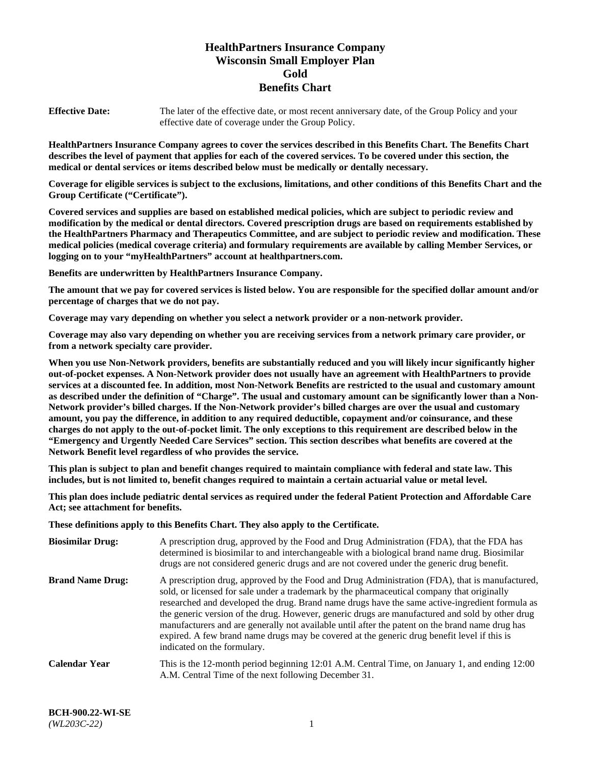# **HealthPartners Insurance Company Wisconsin Small Employer Plan Gold Benefits Chart**

**Effective Date:** The later of the effective date, or most recent anniversary date, of the Group Policy and your effective date of coverage under the Group Policy.

**HealthPartners Insurance Company agrees to cover the services described in this Benefits Chart. The Benefits Chart describes the level of payment that applies for each of the covered services. To be covered under this section, the medical or dental services or items described below must be medically or dentally necessary.**

**Coverage for eligible services is subject to the exclusions, limitations, and other conditions of this Benefits Chart and the Group Certificate ("Certificate").**

**Covered services and supplies are based on established medical policies, which are subject to periodic review and modification by the medical or dental directors. Covered prescription drugs are based on requirements established by the HealthPartners Pharmacy and Therapeutics Committee, and are subject to periodic review and modification. These medical policies (medical coverage criteria) and formulary requirements are available by calling Member Services, or logging on to your "myHealthPartners" account at [healthpartners.com.](https://www.healthpartners.com/hp/index.html)** 

**Benefits are underwritten by HealthPartners Insurance Company.**

**The amount that we pay for covered services is listed below. You are responsible for the specified dollar amount and/or percentage of charges that we do not pay.**

**Coverage may vary depending on whether you select a network provider or a non-network provider.**

**Coverage may also vary depending on whether you are receiving services from a network primary care provider, or from a network specialty care provider.**

**When you use Non-Network providers, benefits are substantially reduced and you will likely incur significantly higher out-of-pocket expenses. A Non-Network provider does not usually have an agreement with HealthPartners to provide services at a discounted fee. In addition, most Non-Network Benefits are restricted to the usual and customary amount as described under the definition of "Charge". The usual and customary amount can be significantly lower than a Non-Network provider's billed charges. If the Non-Network provider's billed charges are over the usual and customary amount, you pay the difference, in addition to any required deductible, copayment and/or coinsurance, and these charges do not apply to the out-of-pocket limit. The only exceptions to this requirement are described below in the "Emergency and Urgently Needed Care Services" section. This section describes what benefits are covered at the Network Benefit level regardless of who provides the service.**

**This plan is subject to plan and benefit changes required to maintain compliance with federal and state law. This includes, but is not limited to, benefit changes required to maintain a certain actuarial value or metal level.**

**This plan does include pediatric dental services as required under the federal Patient Protection and Affordable Care Act; see attachment for benefits.**

**These definitions apply to this Benefits Chart. They also apply to the Certificate.**

| <b>Biosimilar Drug:</b> | A prescription drug, approved by the Food and Drug Administration (FDA), that the FDA has<br>determined is biosimilar to and interchangeable with a biological brand name drug. Biosimilar<br>drugs are not considered generic drugs and are not covered under the generic drug benefit.                                                                                                                                                                                                                                                                                                                                           |
|-------------------------|------------------------------------------------------------------------------------------------------------------------------------------------------------------------------------------------------------------------------------------------------------------------------------------------------------------------------------------------------------------------------------------------------------------------------------------------------------------------------------------------------------------------------------------------------------------------------------------------------------------------------------|
| <b>Brand Name Drug:</b> | A prescription drug, approved by the Food and Drug Administration (FDA), that is manufactured,<br>sold, or licensed for sale under a trademark by the pharmaceutical company that originally<br>researched and developed the drug. Brand name drugs have the same active-ingredient formula as<br>the generic version of the drug. However, generic drugs are manufactured and sold by other drug<br>manufacturers and are generally not available until after the patent on the brand name drug has<br>expired. A few brand name drugs may be covered at the generic drug benefit level if this is<br>indicated on the formulary. |
| Calendar Year           | This is the 12-month period beginning 12:01 A.M. Central Time, on January 1, and ending 12:00<br>A.M. Central Time of the next following December 31.                                                                                                                                                                                                                                                                                                                                                                                                                                                                              |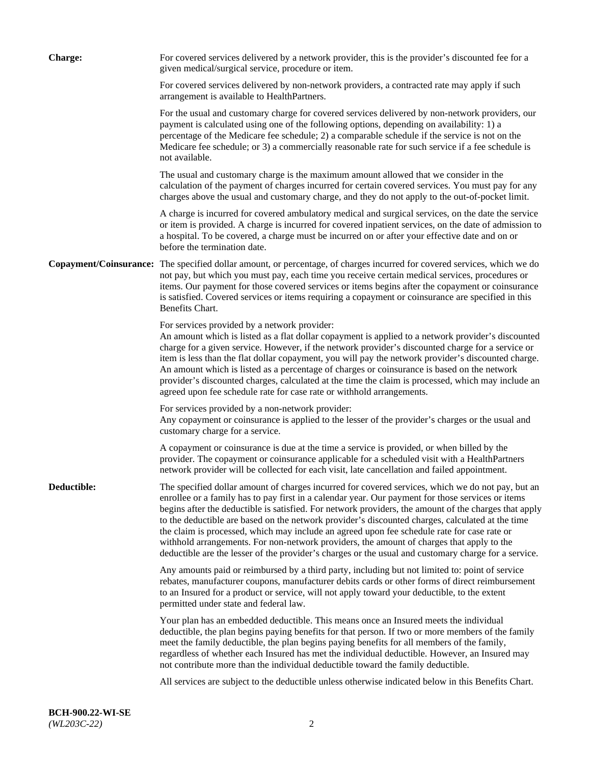| <b>Charge:</b> | For covered services delivered by a network provider, this is the provider's discounted fee for a<br>given medical/surgical service, procedure or item.                                                                                                                                                                                                                                                                                                                                                                                                                                                                                                                                                                 |
|----------------|-------------------------------------------------------------------------------------------------------------------------------------------------------------------------------------------------------------------------------------------------------------------------------------------------------------------------------------------------------------------------------------------------------------------------------------------------------------------------------------------------------------------------------------------------------------------------------------------------------------------------------------------------------------------------------------------------------------------------|
|                | For covered services delivered by non-network providers, a contracted rate may apply if such<br>arrangement is available to HealthPartners.                                                                                                                                                                                                                                                                                                                                                                                                                                                                                                                                                                             |
|                | For the usual and customary charge for covered services delivered by non-network providers, our<br>payment is calculated using one of the following options, depending on availability: 1) a<br>percentage of the Medicare fee schedule; 2) a comparable schedule if the service is not on the<br>Medicare fee schedule; or 3) a commercially reasonable rate for such service if a fee schedule is<br>not available.                                                                                                                                                                                                                                                                                                   |
|                | The usual and customary charge is the maximum amount allowed that we consider in the<br>calculation of the payment of charges incurred for certain covered services. You must pay for any<br>charges above the usual and customary charge, and they do not apply to the out-of-pocket limit.                                                                                                                                                                                                                                                                                                                                                                                                                            |
|                | A charge is incurred for covered ambulatory medical and surgical services, on the date the service<br>or item is provided. A charge is incurred for covered inpatient services, on the date of admission to<br>a hospital. To be covered, a charge must be incurred on or after your effective date and on or<br>before the termination date.                                                                                                                                                                                                                                                                                                                                                                           |
|                | Copayment/Coinsurance: The specified dollar amount, or percentage, of charges incurred for covered services, which we do<br>not pay, but which you must pay, each time you receive certain medical services, procedures or<br>items. Our payment for those covered services or items begins after the copayment or coinsurance<br>is satisfied. Covered services or items requiring a copayment or coinsurance are specified in this<br>Benefits Chart.                                                                                                                                                                                                                                                                 |
|                | For services provided by a network provider:<br>An amount which is listed as a flat dollar copayment is applied to a network provider's discounted<br>charge for a given service. However, if the network provider's discounted charge for a service or<br>item is less than the flat dollar copayment, you will pay the network provider's discounted charge.<br>An amount which is listed as a percentage of charges or coinsurance is based on the network<br>provider's discounted charges, calculated at the time the claim is processed, which may include an<br>agreed upon fee schedule rate for case rate or withhold arrangements.                                                                            |
|                | For services provided by a non-network provider:<br>Any copayment or coinsurance is applied to the lesser of the provider's charges or the usual and<br>customary charge for a service.                                                                                                                                                                                                                                                                                                                                                                                                                                                                                                                                 |
|                | A copayment or coinsurance is due at the time a service is provided, or when billed by the<br>provider. The copayment or coinsurance applicable for a scheduled visit with a HealthPartners<br>network provider will be collected for each visit, late cancellation and failed appointment.                                                                                                                                                                                                                                                                                                                                                                                                                             |
| Deductible:    | The specified dollar amount of charges incurred for covered services, which we do not pay, but an<br>enrollee or a family has to pay first in a calendar year. Our payment for those services or items<br>begins after the deductible is satisfied. For network providers, the amount of the charges that apply<br>to the deductible are based on the network provider's discounted charges, calculated at the time<br>the claim is processed, which may include an agreed upon fee schedule rate for case rate or<br>withhold arrangements. For non-network providers, the amount of charges that apply to the<br>deductible are the lesser of the provider's charges or the usual and customary charge for a service. |
|                | Any amounts paid or reimbursed by a third party, including but not limited to: point of service<br>rebates, manufacturer coupons, manufacturer debits cards or other forms of direct reimbursement<br>to an Insured for a product or service, will not apply toward your deductible, to the extent<br>permitted under state and federal law.                                                                                                                                                                                                                                                                                                                                                                            |
|                | Your plan has an embedded deductible. This means once an Insured meets the individual<br>deductible, the plan begins paying benefits for that person. If two or more members of the family<br>meet the family deductible, the plan begins paying benefits for all members of the family,<br>regardless of whether each Insured has met the individual deductible. However, an Insured may<br>not contribute more than the individual deductible toward the family deductible.                                                                                                                                                                                                                                           |
|                | All services are subject to the deductible unless otherwise indicated below in this Benefits Chart.                                                                                                                                                                                                                                                                                                                                                                                                                                                                                                                                                                                                                     |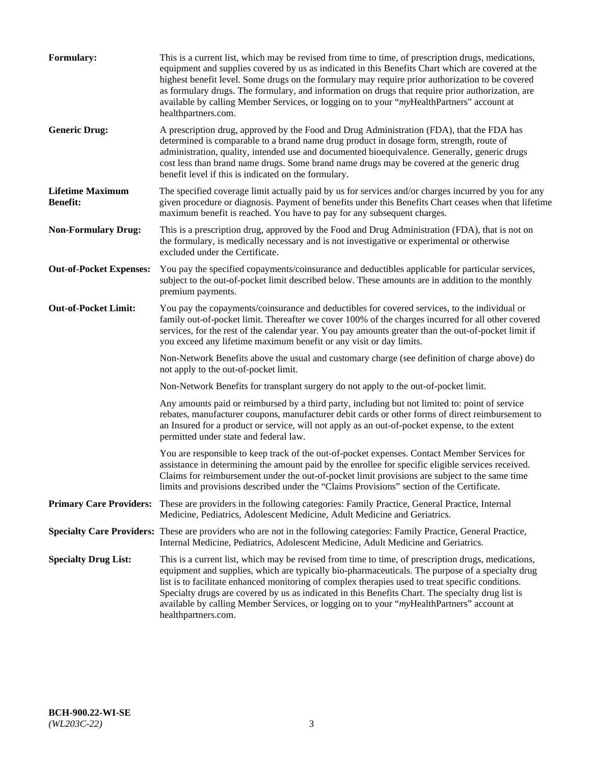| Formulary:                                 | This is a current list, which may be revised from time to time, of prescription drugs, medications,<br>equipment and supplies covered by us as indicated in this Benefits Chart which are covered at the<br>highest benefit level. Some drugs on the formulary may require prior authorization to be covered<br>as formulary drugs. The formulary, and information on drugs that require prior authorization, are<br>available by calling Member Services, or logging on to your "myHealthPartners" account at<br>healthpartners.com. |
|--------------------------------------------|---------------------------------------------------------------------------------------------------------------------------------------------------------------------------------------------------------------------------------------------------------------------------------------------------------------------------------------------------------------------------------------------------------------------------------------------------------------------------------------------------------------------------------------|
| <b>Generic Drug:</b>                       | A prescription drug, approved by the Food and Drug Administration (FDA), that the FDA has<br>determined is comparable to a brand name drug product in dosage form, strength, route of<br>administration, quality, intended use and documented bioequivalence. Generally, generic drugs<br>cost less than brand name drugs. Some brand name drugs may be covered at the generic drug<br>benefit level if this is indicated on the formulary.                                                                                           |
| <b>Lifetime Maximum</b><br><b>Benefit:</b> | The specified coverage limit actually paid by us for services and/or charges incurred by you for any<br>given procedure or diagnosis. Payment of benefits under this Benefits Chart ceases when that lifetime<br>maximum benefit is reached. You have to pay for any subsequent charges.                                                                                                                                                                                                                                              |
| <b>Non-Formulary Drug:</b>                 | This is a prescription drug, approved by the Food and Drug Administration (FDA), that is not on<br>the formulary, is medically necessary and is not investigative or experimental or otherwise<br>excluded under the Certificate.                                                                                                                                                                                                                                                                                                     |
| <b>Out-of-Pocket Expenses:</b>             | You pay the specified copayments/coinsurance and deductibles applicable for particular services,<br>subject to the out-of-pocket limit described below. These amounts are in addition to the monthly<br>premium payments.                                                                                                                                                                                                                                                                                                             |
| <b>Out-of-Pocket Limit:</b>                | You pay the copayments/coinsurance and deductibles for covered services, to the individual or<br>family out-of-pocket limit. Thereafter we cover 100% of the charges incurred for all other covered<br>services, for the rest of the calendar year. You pay amounts greater than the out-of-pocket limit if<br>you exceed any lifetime maximum benefit or any visit or day limits.                                                                                                                                                    |
|                                            | Non-Network Benefits above the usual and customary charge (see definition of charge above) do<br>not apply to the out-of-pocket limit.                                                                                                                                                                                                                                                                                                                                                                                                |
|                                            | Non-Network Benefits for transplant surgery do not apply to the out-of-pocket limit.                                                                                                                                                                                                                                                                                                                                                                                                                                                  |
|                                            | Any amounts paid or reimbursed by a third party, including but not limited to: point of service<br>rebates, manufacturer coupons, manufacturer debit cards or other forms of direct reimbursement to<br>an Insured for a product or service, will not apply as an out-of-pocket expense, to the extent<br>permitted under state and federal law.                                                                                                                                                                                      |
|                                            | You are responsible to keep track of the out-of-pocket expenses. Contact Member Services for<br>assistance in determining the amount paid by the enrollee for specific eligible services received.<br>Claims for reimbursement under the out-of-pocket limit provisions are subject to the same time<br>limits and provisions described under the "Claims Provisions" section of the Certificate.                                                                                                                                     |
| <b>Primary Care Providers:</b>             | These are providers in the following categories: Family Practice, General Practice, Internal<br>Medicine, Pediatrics, Adolescent Medicine, Adult Medicine and Geriatrics.                                                                                                                                                                                                                                                                                                                                                             |
|                                            | Specialty Care Providers: These are providers who are not in the following categories: Family Practice, General Practice,<br>Internal Medicine, Pediatrics, Adolescent Medicine, Adult Medicine and Geriatrics.                                                                                                                                                                                                                                                                                                                       |
| <b>Specialty Drug List:</b>                | This is a current list, which may be revised from time to time, of prescription drugs, medications,<br>equipment and supplies, which are typically bio-pharmaceuticals. The purpose of a specialty drug<br>list is to facilitate enhanced monitoring of complex therapies used to treat specific conditions.<br>Specialty drugs are covered by us as indicated in this Benefits Chart. The specialty drug list is<br>available by calling Member Services, or logging on to your "myHealthPartners" account at<br>healthpartners.com. |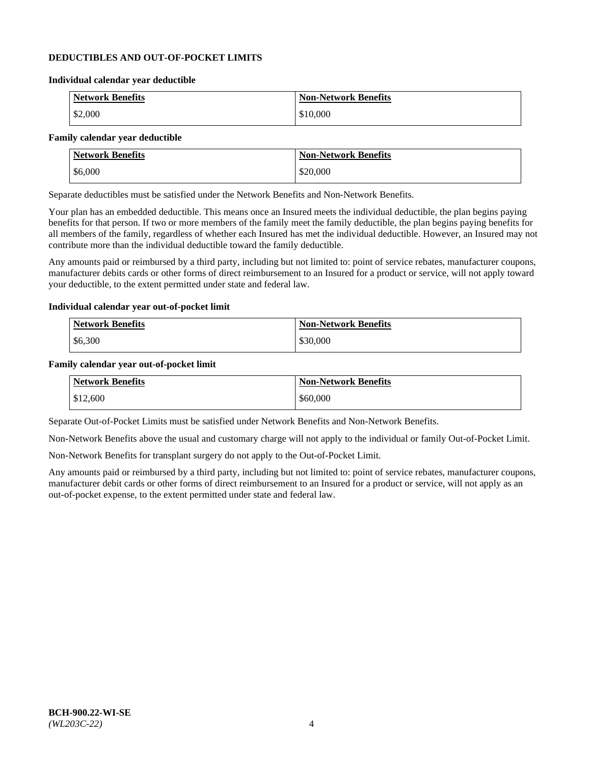### **DEDUCTIBLES AND OUT-OF-POCKET LIMITS**

#### **Individual calendar year deductible**

| <b>Network Benefits</b> | <b>Non-Network Benefits</b> |
|-------------------------|-----------------------------|
| \$2,000                 | \$10,000                    |

#### **Family calendar year deductible**

| <b>Network Benefits</b> | <b>Non-Network Benefits</b> |
|-------------------------|-----------------------------|
| \$6,000                 | \$20,000                    |

Separate deductibles must be satisfied under the Network Benefits and Non-Network Benefits.

Your plan has an embedded deductible. This means once an Insured meets the individual deductible, the plan begins paying benefits for that person. If two or more members of the family meet the family deductible, the plan begins paying benefits for all members of the family, regardless of whether each Insured has met the individual deductible. However, an Insured may not contribute more than the individual deductible toward the family deductible.

Any amounts paid or reimbursed by a third party, including but not limited to: point of service rebates, manufacturer coupons, manufacturer debits cards or other forms of direct reimbursement to an Insured for a product or service, will not apply toward your deductible, to the extent permitted under state and federal law.

#### **Individual calendar year out-of-pocket limit**

| Network Benefits | <b>Non-Network Benefits</b> |
|------------------|-----------------------------|
| \$6,300          | \$30,000                    |

#### **Family calendar year out-of-pocket limit**

| <b>Network Benefits</b> | <b>Non-Network Benefits</b> |
|-------------------------|-----------------------------|
| \$12,600                | \$60,000                    |

Separate Out-of-Pocket Limits must be satisfied under Network Benefits and Non-Network Benefits.

Non-Network Benefits above the usual and customary charge will not apply to the individual or family Out-of-Pocket Limit.

Non-Network Benefits for transplant surgery do not apply to the Out-of-Pocket Limit.

Any amounts paid or reimbursed by a third party, including but not limited to: point of service rebates, manufacturer coupons, manufacturer debit cards or other forms of direct reimbursement to an Insured for a product or service, will not apply as an out-of-pocket expense, to the extent permitted under state and federal law.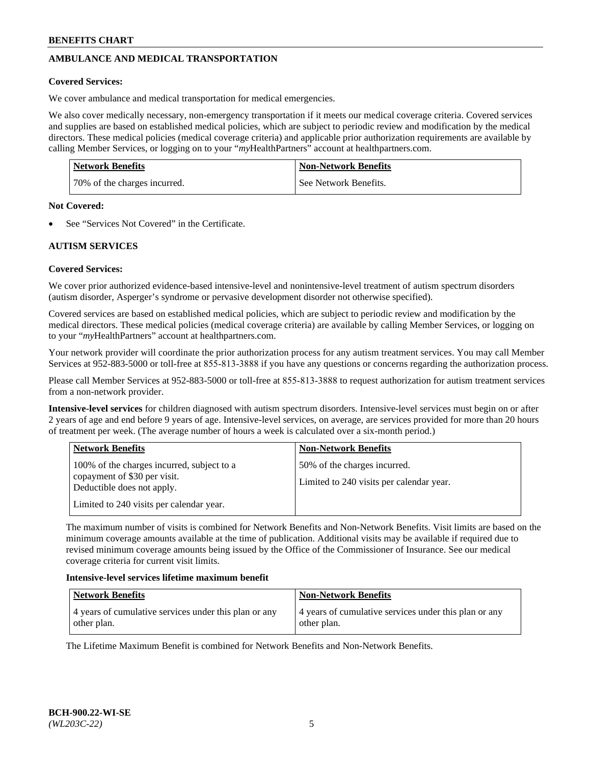# **AMBULANCE AND MEDICAL TRANSPORTATION**

## **Covered Services:**

We cover ambulance and medical transportation for medical emergencies.

We also cover medically necessary, non-emergency transportation if it meets our medical coverage criteria. Covered services and supplies are based on established medical policies, which are subject to periodic review and modification by the medical directors. These medical policies (medical coverage criteria) and applicable prior authorization requirements are available by calling Member Services, or logging on to your "*my*HealthPartners" account a[t healthpartners.com.](https://www.healthpartners.com/hp/index.html)

| <b>Network Benefits</b>      | <b>Non-Network Benefits</b> |
|------------------------------|-----------------------------|
| 70% of the charges incurred. | See Network Benefits.       |

#### **Not Covered:**

See "Services Not Covered" in the Certificate.

# **AUTISM SERVICES**

# **Covered Services:**

We cover prior authorized evidence-based intensive-level and nonintensive-level treatment of autism spectrum disorders (autism disorder, Asperger's syndrome or pervasive development disorder not otherwise specified).

Covered services are based on established medical policies, which are subject to periodic review and modification by the medical directors. These medical policies (medical coverage criteria) are available by calling Member Services, or logging on to your "*my*HealthPartners" account at [healthpartners.com.](https://www.healthpartners.com/hp/index.html)

Your network provider will coordinate the prior authorization process for any autism treatment services. You may call Member Services at 952-883-5000 or toll-free at 855-813-3888 if you have any questions or concerns regarding the authorization process.

Please call Member Services at 952-883-5000 or toll-free at 855-813-3888 to request authorization for autism treatment services from a non-network provider.

**Intensive-level services** for children diagnosed with autism spectrum disorders. Intensive-level services must begin on or after 2 years of age and end before 9 years of age. Intensive-level services, on average, are services provided for more than 20 hours of treatment per week. (The average number of hours a week is calculated over a six-month period.)

| <b>Network Benefits</b>                                                                                                                              | <b>Non-Network Benefits</b>                                              |
|------------------------------------------------------------------------------------------------------------------------------------------------------|--------------------------------------------------------------------------|
| 100% of the charges incurred, subject to a<br>copayment of \$30 per visit.<br>Deductible does not apply.<br>Limited to 240 visits per calendar year. | 50% of the charges incurred.<br>Limited to 240 visits per calendar year. |

The maximum number of visits is combined for Network Benefits and Non-Network Benefits. Visit limits are based on the minimum coverage amounts available at the time of publication. Additional visits may be available if required due to revised minimum coverage amounts being issued by the Office of the Commissioner of Insurance. See our medical coverage criteria for current visit limits.

#### **Intensive-level services lifetime maximum benefit**

| Network Benefits                                                     | <b>Non-Network Benefits</b>                                          |
|----------------------------------------------------------------------|----------------------------------------------------------------------|
| 4 years of cumulative services under this plan or any<br>other plan. | 4 years of cumulative services under this plan or any<br>other plan. |

The Lifetime Maximum Benefit is combined for Network Benefits and Non-Network Benefits.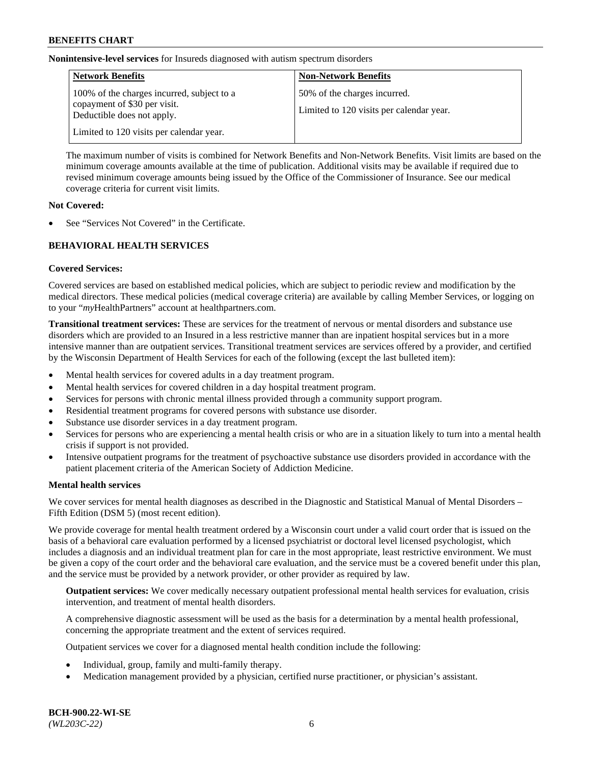**Nonintensive-level services** for Insureds diagnosed with autism spectrum disorders

| <b>Network Benefits</b>                                                                                  | <b>Non-Network Benefits</b>                                              |
|----------------------------------------------------------------------------------------------------------|--------------------------------------------------------------------------|
| 100% of the charges incurred, subject to a<br>copayment of \$30 per visit.<br>Deductible does not apply. | 50% of the charges incurred.<br>Limited to 120 visits per calendar year. |
| Limited to 120 visits per calendar year.                                                                 |                                                                          |

The maximum number of visits is combined for Network Benefits and Non-Network Benefits. Visit limits are based on the minimum coverage amounts available at the time of publication. Additional visits may be available if required due to revised minimum coverage amounts being issued by the Office of the Commissioner of Insurance. See our medical coverage criteria for current visit limits.

### **Not Covered:**

See "Services Not Covered" in the Certificate.

# **BEHAVIORAL HEALTH SERVICES**

# **Covered Services:**

Covered services are based on established medical policies, which are subject to periodic review and modification by the medical directors. These medical policies (medical coverage criteria) are available by calling Member Services, or logging on to your "*my*HealthPartners" account at [healthpartners.com.](https://www.healthpartners.com/hp/index.html)

**Transitional treatment services:** These are services for the treatment of nervous or mental disorders and substance use disorders which are provided to an Insured in a less restrictive manner than are inpatient hospital services but in a more intensive manner than are outpatient services. Transitional treatment services are services offered by a provider, and certified by the Wisconsin Department of Health Services for each of the following (except the last bulleted item):

- Mental health services for covered adults in a day treatment program.
- Mental health services for covered children in a day hospital treatment program.
- Services for persons with chronic mental illness provided through a community support program.
- Residential treatment programs for covered persons with substance use disorder.
- Substance use disorder services in a day treatment program.
- Services for persons who are experiencing a mental health crisis or who are in a situation likely to turn into a mental health crisis if support is not provided.
- Intensive outpatient programs for the treatment of psychoactive substance use disorders provided in accordance with the patient placement criteria of the American Society of Addiction Medicine.

# **Mental health services**

We cover services for mental health diagnoses as described in the Diagnostic and Statistical Manual of Mental Disorders – Fifth Edition (DSM 5) (most recent edition).

We provide coverage for mental health treatment ordered by a Wisconsin court under a valid court order that is issued on the basis of a behavioral care evaluation performed by a licensed psychiatrist or doctoral level licensed psychologist, which includes a diagnosis and an individual treatment plan for care in the most appropriate, least restrictive environment. We must be given a copy of the court order and the behavioral care evaluation, and the service must be a covered benefit under this plan, and the service must be provided by a network provider, or other provider as required by law.

**Outpatient services:** We cover medically necessary outpatient professional mental health services for evaluation, crisis intervention, and treatment of mental health disorders.

A comprehensive diagnostic assessment will be used as the basis for a determination by a mental health professional, concerning the appropriate treatment and the extent of services required.

Outpatient services we cover for a diagnosed mental health condition include the following:

- Individual, group, family and multi-family therapy.
- Medication management provided by a physician, certified nurse practitioner, or physician's assistant.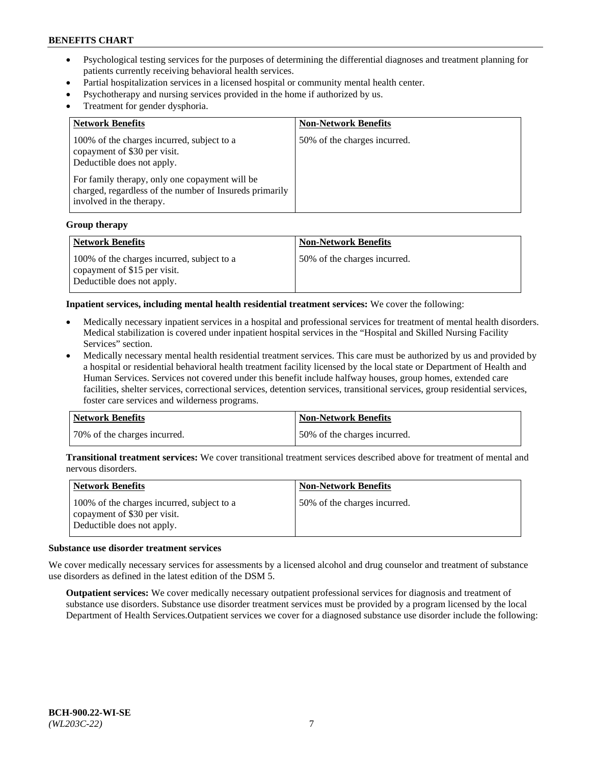- Psychological testing services for the purposes of determining the differential diagnoses and treatment planning for patients currently receiving behavioral health services.
- Partial hospitalization services in a licensed hospital or community mental health center.
- Psychotherapy and nursing services provided in the home if authorized by us.
- Treatment for gender dysphoria.

| <b>Network Benefits</b>                                                                                                                                                                                                                           | <b>Non-Network Benefits</b>  |
|---------------------------------------------------------------------------------------------------------------------------------------------------------------------------------------------------------------------------------------------------|------------------------------|
| 100% of the charges incurred, subject to a<br>copayment of \$30 per visit.<br>Deductible does not apply.<br>For family therapy, only one copayment will be<br>charged, regardless of the number of Insureds primarily<br>involved in the therapy. | 50% of the charges incurred. |

#### **Group therapy**

| Network Benefits                                                                                         | <b>Non-Network Benefits</b>  |
|----------------------------------------------------------------------------------------------------------|------------------------------|
| 100% of the charges incurred, subject to a<br>copayment of \$15 per visit.<br>Deductible does not apply. | 50% of the charges incurred. |

**Inpatient services, including mental health residential treatment services:** We cover the following:

- Medically necessary inpatient services in a hospital and professional services for treatment of mental health disorders. Medical stabilization is covered under inpatient hospital services in the "Hospital and Skilled Nursing Facility Services" section.
- Medically necessary mental health residential treatment services. This care must be authorized by us and provided by a hospital or residential behavioral health treatment facility licensed by the local state or Department of Health and Human Services. Services not covered under this benefit include halfway houses, group homes, extended care facilities, shelter services, correctional services, detention services, transitional services, group residential services, foster care services and wilderness programs.

| Network Benefits             | <b>Non-Network Benefits</b>  |
|------------------------------|------------------------------|
| 70% of the charges incurred. | 50% of the charges incurred. |

**Transitional treatment services:** We cover transitional treatment services described above for treatment of mental and nervous disorders.

| <b>Network Benefits</b>                                                                                  | <b>Non-Network Benefits</b>  |
|----------------------------------------------------------------------------------------------------------|------------------------------|
| 100% of the charges incurred, subject to a<br>copayment of \$30 per visit.<br>Deductible does not apply. | 50% of the charges incurred. |

#### **Substance use disorder treatment services**

We cover medically necessary services for assessments by a licensed alcohol and drug counselor and treatment of substance use disorders as defined in the latest edition of the DSM 5.

**Outpatient services:** We cover medically necessary outpatient professional services for diagnosis and treatment of substance use disorders. Substance use disorder treatment services must be provided by a program licensed by the local Department of Health Services.Outpatient services we cover for a diagnosed substance use disorder include the following: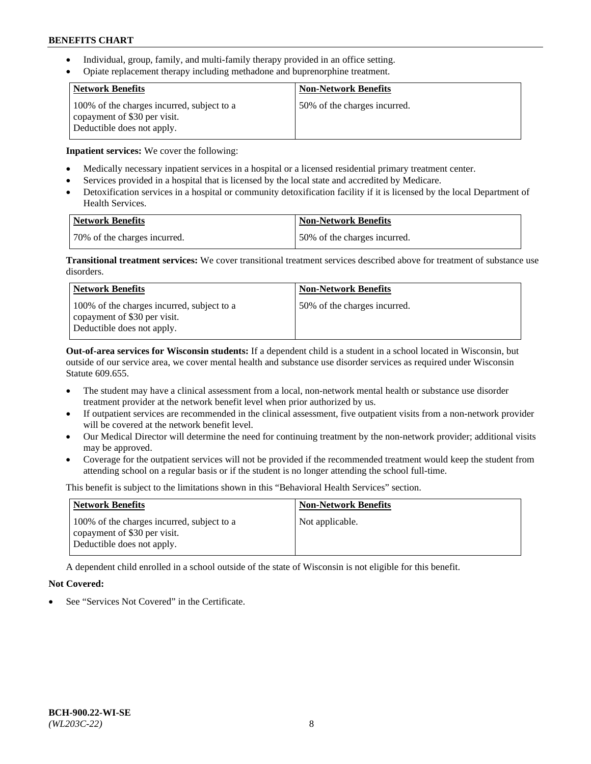- Individual, group, family, and multi-family therapy provided in an office setting.
- Opiate replacement therapy including methadone and buprenorphine treatment.

| <b>Network Benefits</b>                                                                                  | <b>Non-Network Benefits</b>  |
|----------------------------------------------------------------------------------------------------------|------------------------------|
| 100% of the charges incurred, subject to a<br>copayment of \$30 per visit.<br>Deductible does not apply. | 50% of the charges incurred. |

**Inpatient services:** We cover the following:

- Medically necessary inpatient services in a hospital or a licensed residential primary treatment center.
- Services provided in a hospital that is licensed by the local state and accredited by Medicare.
- Detoxification services in a hospital or community detoxification facility if it is licensed by the local Department of Health Services.

| Network Benefits             | Non-Network Benefits         |
|------------------------------|------------------------------|
| 70% of the charges incurred. | 50% of the charges incurred. |

**Transitional treatment services:** We cover transitional treatment services described above for treatment of substance use disorders.

| Network Benefits                                                                                         | <b>Non-Network Benefits</b>  |
|----------------------------------------------------------------------------------------------------------|------------------------------|
| 100% of the charges incurred, subject to a<br>copayment of \$30 per visit.<br>Deductible does not apply. | 50% of the charges incurred. |

**Out-of-area services for Wisconsin students:** If a dependent child is a student in a school located in Wisconsin, but outside of our service area, we cover mental health and substance use disorder services as required under Wisconsin Statute 609.655.

- The student may have a clinical assessment from a local, non-network mental health or substance use disorder treatment provider at the network benefit level when prior authorized by us.
- If outpatient services are recommended in the clinical assessment, five outpatient visits from a non-network provider will be covered at the network benefit level.
- Our Medical Director will determine the need for continuing treatment by the non-network provider; additional visits may be approved.
- Coverage for the outpatient services will not be provided if the recommended treatment would keep the student from attending school on a regular basis or if the student is no longer attending the school full-time.

This benefit is subject to the limitations shown in this "Behavioral Health Services" section.

| <b>Network Benefits</b>                                                                                  | <b>Non-Network Benefits</b> |
|----------------------------------------------------------------------------------------------------------|-----------------------------|
| 100% of the charges incurred, subject to a<br>copayment of \$30 per visit.<br>Deductible does not apply. | Not applicable.             |

A dependent child enrolled in a school outside of the state of Wisconsin is not eligible for this benefit.

# **Not Covered:**

See "Services Not Covered" in the Certificate.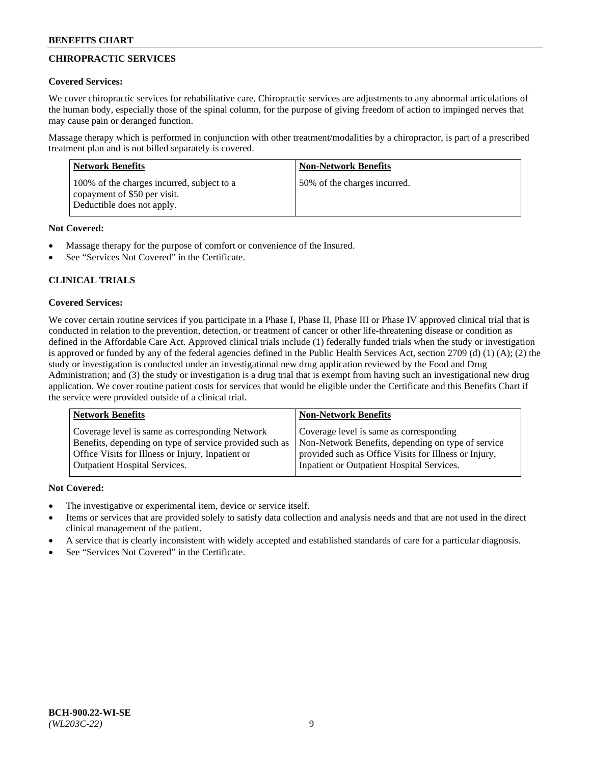# **CHIROPRACTIC SERVICES**

# **Covered Services:**

We cover chiropractic services for rehabilitative care. Chiropractic services are adjustments to any abnormal articulations of the human body, especially those of the spinal column, for the purpose of giving freedom of action to impinged nerves that may cause pain or deranged function.

Massage therapy which is performed in conjunction with other treatment/modalities by a chiropractor, is part of a prescribed treatment plan and is not billed separately is covered.

| <b>Network Benefits</b>                                                                                  | <b>Non-Network Benefits</b>  |
|----------------------------------------------------------------------------------------------------------|------------------------------|
| 100% of the charges incurred, subject to a<br>copayment of \$50 per visit.<br>Deductible does not apply. | 50% of the charges incurred. |

# **Not Covered:**

- Massage therapy for the purpose of comfort or convenience of the Insured.
- See "Services Not Covered" in the Certificate.

# **CLINICAL TRIALS**

# **Covered Services:**

We cover certain routine services if you participate in a Phase I, Phase II, Phase III or Phase IV approved clinical trial that is conducted in relation to the prevention, detection, or treatment of cancer or other life-threatening disease or condition as defined in the Affordable Care Act. Approved clinical trials include (1) federally funded trials when the study or investigation is approved or funded by any of the federal agencies defined in the Public Health Services Act, section 2709 (d) (1) (A); (2) the study or investigation is conducted under an investigational new drug application reviewed by the Food and Drug Administration; and (3) the study or investigation is a drug trial that is exempt from having such an investigational new drug application. We cover routine patient costs for services that would be eligible under the Certificate and this Benefits Chart if the service were provided outside of a clinical trial.

| Coverage level is same as corresponding<br>Coverage level is same as corresponding Network<br>Non-Network Benefits, depending on type of service<br>Benefits, depending on type of service provided such as<br>Office Visits for Illness or Injury, Inpatient or<br>provided such as Office Visits for Illness or Injury, | <b>Network Benefits</b>              | <b>Non-Network Benefits</b>                |
|---------------------------------------------------------------------------------------------------------------------------------------------------------------------------------------------------------------------------------------------------------------------------------------------------------------------------|--------------------------------------|--------------------------------------------|
|                                                                                                                                                                                                                                                                                                                           | <b>Outpatient Hospital Services.</b> | Inpatient or Outpatient Hospital Services. |

- The investigative or experimental item, device or service itself.
- Items or services that are provided solely to satisfy data collection and analysis needs and that are not used in the direct clinical management of the patient.
- A service that is clearly inconsistent with widely accepted and established standards of care for a particular diagnosis.
- See "Services Not Covered" in the Certificate.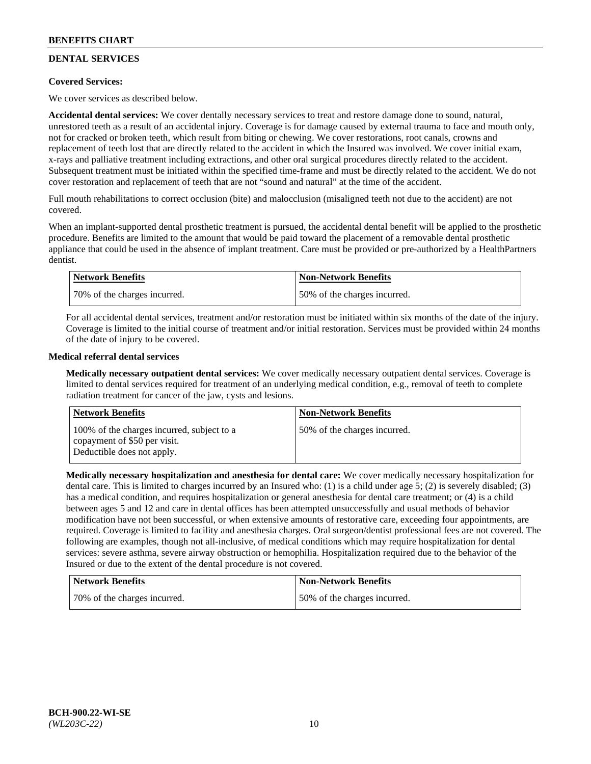# **DENTAL SERVICES**

# **Covered Services:**

We cover services as described below.

**Accidental dental services:** We cover dentally necessary services to treat and restore damage done to sound, natural, unrestored teeth as a result of an accidental injury. Coverage is for damage caused by external trauma to face and mouth only, not for cracked or broken teeth, which result from biting or chewing. We cover restorations, root canals, crowns and replacement of teeth lost that are directly related to the accident in which the Insured was involved. We cover initial exam, x-rays and palliative treatment including extractions, and other oral surgical procedures directly related to the accident. Subsequent treatment must be initiated within the specified time-frame and must be directly related to the accident. We do not cover restoration and replacement of teeth that are not "sound and natural" at the time of the accident.

Full mouth rehabilitations to correct occlusion (bite) and malocclusion (misaligned teeth not due to the accident) are not covered.

When an implant-supported dental prosthetic treatment is pursued, the accidental dental benefit will be applied to the prosthetic procedure. Benefits are limited to the amount that would be paid toward the placement of a removable dental prosthetic appliance that could be used in the absence of implant treatment. Care must be provided or pre-authorized by a HealthPartners dentist.

| Network Benefits             | <b>Non-Network Benefits</b>  |
|------------------------------|------------------------------|
| 70% of the charges incurred. | 50% of the charges incurred. |

For all accidental dental services, treatment and/or restoration must be initiated within six months of the date of the injury. Coverage is limited to the initial course of treatment and/or initial restoration. Services must be provided within 24 months of the date of injury to be covered.

# **Medical referral dental services**

**Medically necessary outpatient dental services:** We cover medically necessary outpatient dental services. Coverage is limited to dental services required for treatment of an underlying medical condition, e.g., removal of teeth to complete radiation treatment for cancer of the jaw, cysts and lesions.

| <b>Network Benefits</b>                                                                                  | <b>Non-Network Benefits</b>  |
|----------------------------------------------------------------------------------------------------------|------------------------------|
| 100% of the charges incurred, subject to a<br>copayment of \$50 per visit.<br>Deductible does not apply. | 50% of the charges incurred. |

**Medically necessary hospitalization and anesthesia for dental care:** We cover medically necessary hospitalization for dental care. This is limited to charges incurred by an Insured who: (1) is a child under age 5; (2) is severely disabled; (3) has a medical condition, and requires hospitalization or general anesthesia for dental care treatment; or (4) is a child between ages 5 and 12 and care in dental offices has been attempted unsuccessfully and usual methods of behavior modification have not been successful, or when extensive amounts of restorative care, exceeding four appointments, are required. Coverage is limited to facility and anesthesia charges. Oral surgeon/dentist professional fees are not covered. The following are examples, though not all-inclusive, of medical conditions which may require hospitalization for dental services: severe asthma, severe airway obstruction or hemophilia. Hospitalization required due to the behavior of the Insured or due to the extent of the dental procedure is not covered.

| <b>Network Benefits</b>      | <b>Non-Network Benefits</b>  |
|------------------------------|------------------------------|
| 70% of the charges incurred. | 50% of the charges incurred. |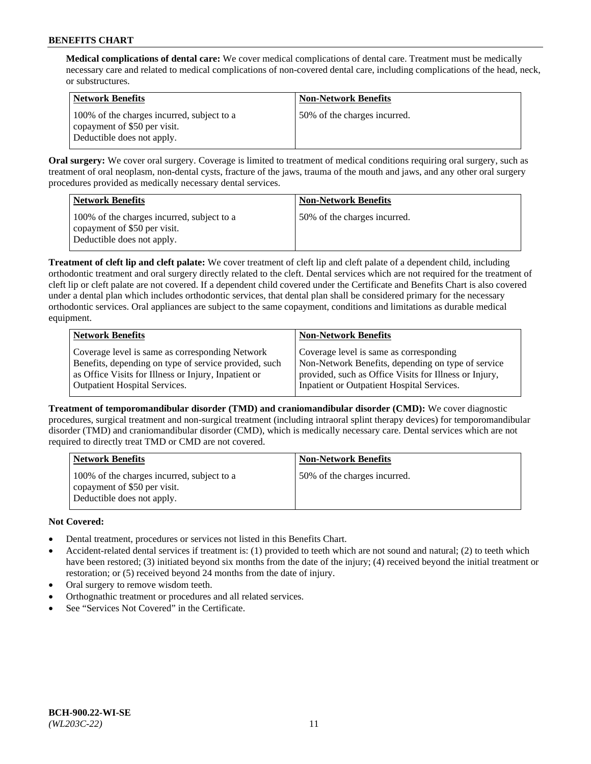**Medical complications of dental care:** We cover medical complications of dental care. Treatment must be medically necessary care and related to medical complications of non-covered dental care, including complications of the head, neck, or substructures.

| Network Benefits                                                                                         | <b>Non-Network Benefits</b>  |
|----------------------------------------------------------------------------------------------------------|------------------------------|
| 100% of the charges incurred, subject to a<br>copayment of \$50 per visit.<br>Deductible does not apply. | 50% of the charges incurred. |

**Oral surgery:** We cover oral surgery. Coverage is limited to treatment of medical conditions requiring oral surgery, such as treatment of oral neoplasm, non-dental cysts, fracture of the jaws, trauma of the mouth and jaws, and any other oral surgery procedures provided as medically necessary dental services.

| <b>Network Benefits</b>                                                                                  | <b>Non-Network Benefits</b>  |
|----------------------------------------------------------------------------------------------------------|------------------------------|
| 100% of the charges incurred, subject to a<br>copayment of \$50 per visit.<br>Deductible does not apply. | 50% of the charges incurred. |

**Treatment of cleft lip and cleft palate:** We cover treatment of cleft lip and cleft palate of a dependent child, including orthodontic treatment and oral surgery directly related to the cleft. Dental services which are not required for the treatment of cleft lip or cleft palate are not covered. If a dependent child covered under the Certificate and Benefits Chart is also covered under a dental plan which includes orthodontic services, that dental plan shall be considered primary for the necessary orthodontic services. Oral appliances are subject to the same copayment, conditions and limitations as durable medical equipment.

| <b>Network Benefits</b>                               | <b>Non-Network Benefits</b>                            |
|-------------------------------------------------------|--------------------------------------------------------|
| Coverage level is same as corresponding Network       | Coverage level is same as corresponding                |
| Benefits, depending on type of service provided, such | Non-Network Benefits, depending on type of service     |
| as Office Visits for Illness or Injury, Inpatient or  | provided, such as Office Visits for Illness or Injury, |
| <b>Outpatient Hospital Services.</b>                  | Inpatient or Outpatient Hospital Services.             |

**Treatment of temporomandibular disorder (TMD) and craniomandibular disorder (CMD):** We cover diagnostic procedures, surgical treatment and non-surgical treatment (including intraoral splint therapy devices) for temporomandibular disorder (TMD) and craniomandibular disorder (CMD), which is medically necessary care. Dental services which are not required to directly treat TMD or CMD are not covered.

| <b>Network Benefits</b>                                                                                  | <b>Non-Network Benefits</b>  |
|----------------------------------------------------------------------------------------------------------|------------------------------|
| 100% of the charges incurred, subject to a<br>copayment of \$50 per visit.<br>Deductible does not apply. | 50% of the charges incurred. |

- Dental treatment, procedures or services not listed in this Benefits Chart.
- Accident-related dental services if treatment is: (1) provided to teeth which are not sound and natural; (2) to teeth which have been restored; (3) initiated beyond six months from the date of the injury; (4) received beyond the initial treatment or restoration; or (5) received beyond 24 months from the date of injury.
- Oral surgery to remove wisdom teeth.
- Orthognathic treatment or procedures and all related services.
- See "Services Not Covered" in the Certificate.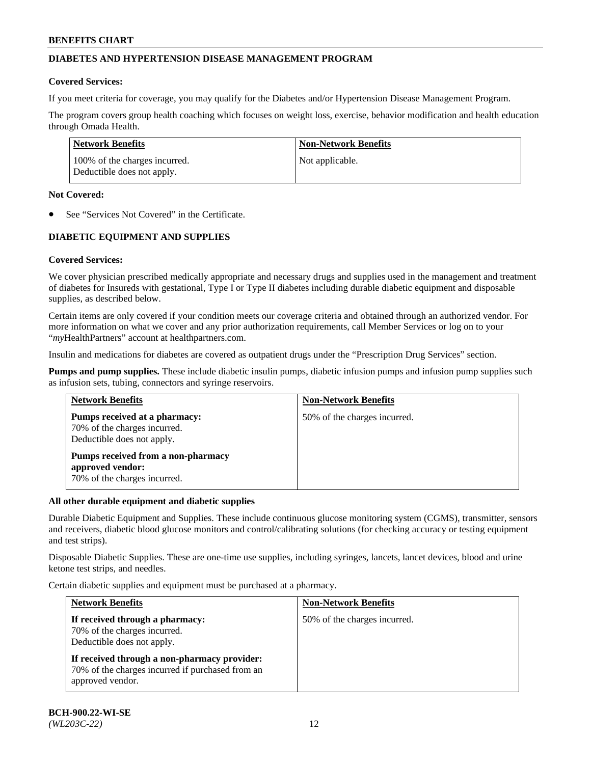# **DIABETES AND HYPERTENSION DISEASE MANAGEMENT PROGRAM**

### **Covered Services:**

If you meet criteria for coverage, you may qualify for the Diabetes and/or Hypertension Disease Management Program.

The program covers group health coaching which focuses on weight loss, exercise, behavior modification and health education through Omada Health.

| <b>Network Benefits</b>                                     | <b>Non-Network Benefits</b> |
|-------------------------------------------------------------|-----------------------------|
| 100% of the charges incurred.<br>Deductible does not apply. | Not applicable.             |

### **Not Covered:**

See "Services Not Covered" in the Certificate.

# **DIABETIC EQUIPMENT AND SUPPLIES**

# **Covered Services:**

We cover physician prescribed medically appropriate and necessary drugs and supplies used in the management and treatment of diabetes for Insureds with gestational, Type I or Type II diabetes including durable diabetic equipment and disposable supplies, as described below.

Certain items are only covered if your condition meets our coverage criteria and obtained through an authorized vendor. For more information on what we cover and any prior authorization requirements, call Member Services or log on to your "*my*HealthPartners" account at [healthpartners.com.](http://www.healthpartners.com/)

Insulin and medications for diabetes are covered as outpatient drugs under the "Prescription Drug Services" section.

**Pumps and pump supplies.** These include diabetic insulin pumps, diabetic infusion pumps and infusion pump supplies such as infusion sets, tubing, connectors and syringe reservoirs.

| <b>Network Benefits</b>                                                                     | <b>Non-Network Benefits</b>  |
|---------------------------------------------------------------------------------------------|------------------------------|
| Pumps received at a pharmacy:<br>70% of the charges incurred.<br>Deductible does not apply. | 50% of the charges incurred. |
| Pumps received from a non-pharmacy<br>approved vendor:<br>70% of the charges incurred.      |                              |

# **All other durable equipment and diabetic supplies**

Durable Diabetic Equipment and Supplies. These include continuous glucose monitoring system (CGMS), transmitter, sensors and receivers, diabetic blood glucose monitors and control/calibrating solutions (for checking accuracy or testing equipment and test strips).

Disposable Diabetic Supplies. These are one-time use supplies, including syringes, lancets, lancet devices, blood and urine ketone test strips, and needles.

Certain diabetic supplies and equipment must be purchased at a pharmacy.

| <b>Network Benefits</b>                                                                                              | <b>Non-Network Benefits</b>  |
|----------------------------------------------------------------------------------------------------------------------|------------------------------|
| If received through a pharmacy:<br>70% of the charges incurred.<br>Deductible does not apply.                        | 50% of the charges incurred. |
| If received through a non-pharmacy provider:<br>70% of the charges incurred if purchased from an<br>approved vendor. |                              |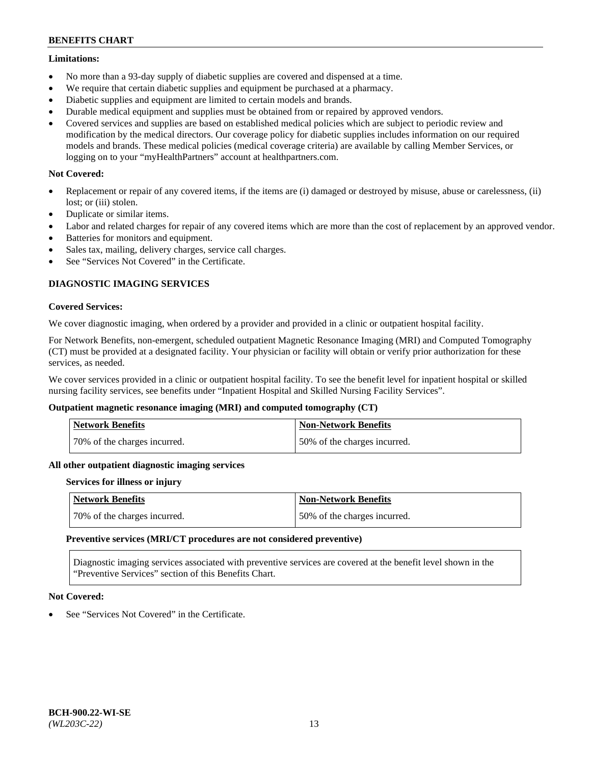## **Limitations:**

- No more than a 93-day supply of diabetic supplies are covered and dispensed at a time.
- We require that certain diabetic supplies and equipment be purchased at a pharmacy.
- Diabetic supplies and equipment are limited to certain models and brands.
- Durable medical equipment and supplies must be obtained from or repaired by approved vendors.
- Covered services and supplies are based on established medical policies which are subject to periodic review and modification by the medical directors. Our coverage policy for diabetic supplies includes information on our required models and brands. These medical policies (medical coverage criteria) are available by calling Member Services, or logging on to your "myHealthPartners" account at [healthpartners.com.](http://www.healthpartners.com/)

# **Not Covered:**

- Replacement or repair of any covered items, if the items are (i) damaged or destroyed by misuse, abuse or carelessness, (ii) lost; or (iii) stolen.
- Duplicate or similar items.
- Labor and related charges for repair of any covered items which are more than the cost of replacement by an approved vendor.
- Batteries for monitors and equipment.
- Sales tax, mailing, delivery charges, service call charges.
- See "Services Not Covered" in the Certificate.

# **DIAGNOSTIC IMAGING SERVICES**

### **Covered Services:**

We cover diagnostic imaging, when ordered by a provider and provided in a clinic or outpatient hospital facility.

For Network Benefits, non-emergent, scheduled outpatient Magnetic Resonance Imaging (MRI) and Computed Tomography (CT) must be provided at a designated facility. Your physician or facility will obtain or verify prior authorization for these services, as needed.

We cover services provided in a clinic or outpatient hospital facility. To see the benefit level for inpatient hospital or skilled nursing facility services, see benefits under "Inpatient Hospital and Skilled Nursing Facility Services".

# **Outpatient magnetic resonance imaging (MRI) and computed tomography (CT)**

| <b>Network Benefits</b>      | <b>Non-Network Benefits</b>  |
|------------------------------|------------------------------|
| 70% of the charges incurred. | 50% of the charges incurred. |

#### **All other outpatient diagnostic imaging services**

#### **Services for illness or injury**

| <b>Network Benefits</b>      | Non-Network Benefits         |
|------------------------------|------------------------------|
| 70% of the charges incurred. | 50% of the charges incurred. |

#### **Preventive services (MRI/CT procedures are not considered preventive)**

Diagnostic imaging services associated with preventive services are covered at the benefit level shown in the "Preventive Services" section of this Benefits Chart.

# **Not Covered:**

See "Services Not Covered" in the Certificate.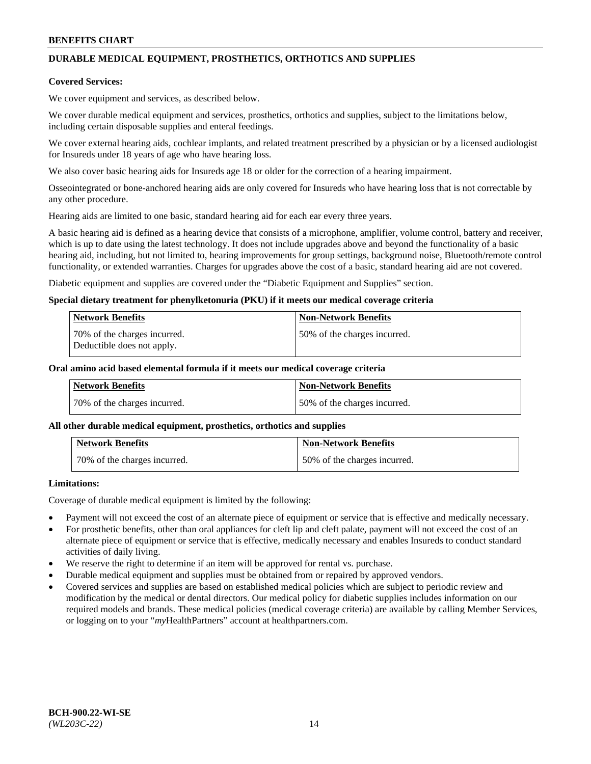# **DURABLE MEDICAL EQUIPMENT, PROSTHETICS, ORTHOTICS AND SUPPLIES**

### **Covered Services:**

We cover equipment and services, as described below.

We cover durable medical equipment and services, prosthetics, orthotics and supplies, subject to the limitations below, including certain disposable supplies and enteral feedings.

We cover external hearing aids, cochlear implants, and related treatment prescribed by a physician or by a licensed audiologist for Insureds under 18 years of age who have hearing loss.

We also cover basic hearing aids for Insureds age 18 or older for the correction of a hearing impairment.

Osseointegrated or bone-anchored hearing aids are only covered for Insureds who have hearing loss that is not correctable by any other procedure.

Hearing aids are limited to one basic, standard hearing aid for each ear every three years.

A basic hearing aid is defined as a hearing device that consists of a microphone, amplifier, volume control, battery and receiver, which is up to date using the latest technology. It does not include upgrades above and beyond the functionality of a basic hearing aid, including, but not limited to, hearing improvements for group settings, background noise, Bluetooth/remote control functionality, or extended warranties. Charges for upgrades above the cost of a basic, standard hearing aid are not covered.

Diabetic equipment and supplies are covered under the "Diabetic Equipment and Supplies" section.

### **Special dietary treatment for phenylketonuria (PKU) if it meets our medical coverage criteria**

| <b>Network Benefits</b>                                    | <b>Non-Network Benefits</b>  |
|------------------------------------------------------------|------------------------------|
| 70% of the charges incurred.<br>Deductible does not apply. | 50% of the charges incurred. |

### **Oral amino acid based elemental formula if it meets our medical coverage criteria**

| Network Benefits             | <b>Non-Network Benefits</b>  |
|------------------------------|------------------------------|
| 70% of the charges incurred. | 50% of the charges incurred. |

#### **All other durable medical equipment, prosthetics, orthotics and supplies**

| <b>Network Benefits</b>      | <b>Non-Network Benefits</b>  |
|------------------------------|------------------------------|
| 70% of the charges incurred. | 50% of the charges incurred. |

# **Limitations:**

Coverage of durable medical equipment is limited by the following:

- Payment will not exceed the cost of an alternate piece of equipment or service that is effective and medically necessary.
- For prosthetic benefits, other than oral appliances for cleft lip and cleft palate, payment will not exceed the cost of an alternate piece of equipment or service that is effective, medically necessary and enables Insureds to conduct standard activities of daily living.
- We reserve the right to determine if an item will be approved for rental vs. purchase.
- Durable medical equipment and supplies must be obtained from or repaired by approved vendors.
- Covered services and supplies are based on established medical policies which are subject to periodic review and modification by the medical or dental directors. Our medical policy for diabetic supplies includes information on our required models and brands. These medical policies (medical coverage criteria) are available by calling Member Services, or logging on to your "*my*HealthPartners" account a[t healthpartners.com.](http://www.healthpartners.com/)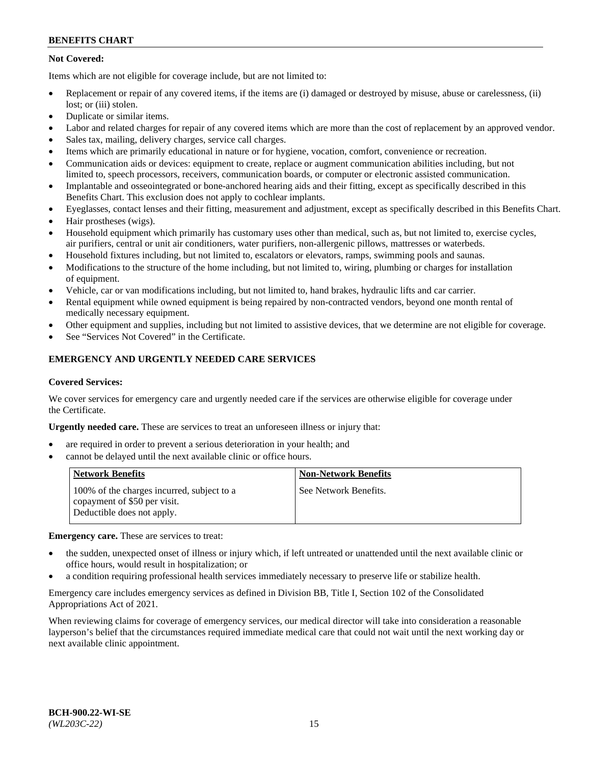# **Not Covered:**

Items which are not eligible for coverage include, but are not limited to:

- Replacement or repair of any covered items, if the items are (i) damaged or destroyed by misuse, abuse or carelessness, (ii) lost; or (iii) stolen.
- Duplicate or similar items.
- Labor and related charges for repair of any covered items which are more than the cost of replacement by an approved vendor.
- Sales tax, mailing, delivery charges, service call charges.
- Items which are primarily educational in nature or for hygiene, vocation, comfort, convenience or recreation.
- Communication aids or devices: equipment to create, replace or augment communication abilities including, but not limited to, speech processors, receivers, communication boards, or computer or electronic assisted communication.
- Implantable and osseointegrated or bone-anchored hearing aids and their fitting, except as specifically described in this Benefits Chart. This exclusion does not apply to cochlear implants.
- Eyeglasses, contact lenses and their fitting, measurement and adjustment, except as specifically described in this Benefits Chart.
- Hair prostheses (wigs).
- Household equipment which primarily has customary uses other than medical, such as, but not limited to, exercise cycles, air purifiers, central or unit air conditioners, water purifiers, non-allergenic pillows, mattresses or waterbeds.
- Household fixtures including, but not limited to, escalators or elevators, ramps, swimming pools and saunas.
- Modifications to the structure of the home including, but not limited to, wiring, plumbing or charges for installation of equipment.
- Vehicle, car or van modifications including, but not limited to, hand brakes, hydraulic lifts and car carrier.
- Rental equipment while owned equipment is being repaired by non-contracted vendors, beyond one month rental of medically necessary equipment.
- Other equipment and supplies, including but not limited to assistive devices, that we determine are not eligible for coverage.
- See "Services Not Covered" in the Certificate.

# **EMERGENCY AND URGENTLY NEEDED CARE SERVICES**

#### **Covered Services:**

We cover services for emergency care and urgently needed care if the services are otherwise eligible for coverage under the Certificate.

**Urgently needed care.** These are services to treat an unforeseen illness or injury that:

- are required in order to prevent a serious deterioration in your health; and
- cannot be delayed until the next available clinic or office hours.

| <b>Network Benefits</b>                                                                                  | <b>Non-Network Benefits</b> |
|----------------------------------------------------------------------------------------------------------|-----------------------------|
| 100% of the charges incurred, subject to a<br>copayment of \$50 per visit.<br>Deductible does not apply. | See Network Benefits.       |

**Emergency care.** These are services to treat:

- the sudden, unexpected onset of illness or injury which, if left untreated or unattended until the next available clinic or office hours, would result in hospitalization; or
- a condition requiring professional health services immediately necessary to preserve life or stabilize health.

Emergency care includes emergency services as defined in Division BB, Title I, Section 102 of the Consolidated Appropriations Act of 2021.

When reviewing claims for coverage of emergency services, our medical director will take into consideration a reasonable layperson's belief that the circumstances required immediate medical care that could not wait until the next working day or next available clinic appointment.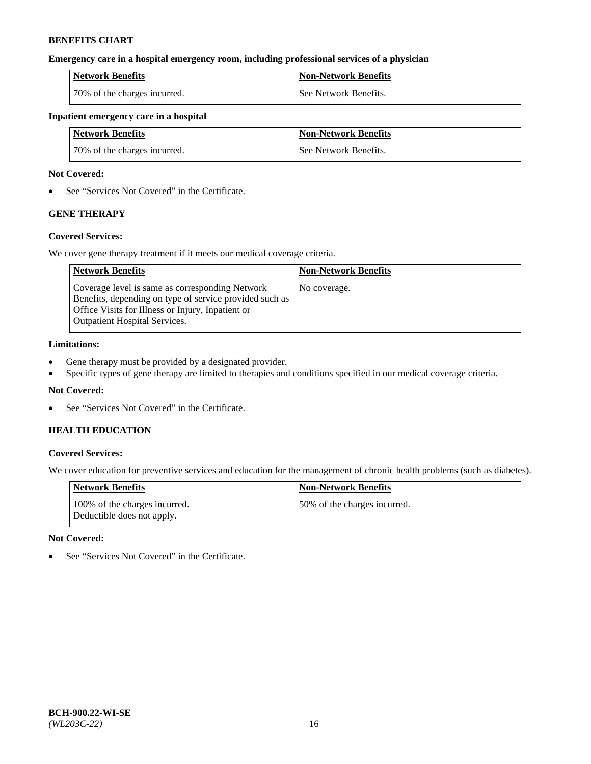### **Emergency care in a hospital emergency room, including professional services of a physician**

| <b>Network Benefits</b>      | <b>Non-Network Benefits</b> |
|------------------------------|-----------------------------|
| 70% of the charges incurred. | l See Network Benefits.     |

#### **Inpatient emergency care in a hospital**

| <b>Network Benefits</b>      | <b>Non-Network Benefits</b> |
|------------------------------|-----------------------------|
| 70% of the charges incurred. | See Network Benefits.       |

### **Not Covered:**

• See "Services Not Covered" in the Certificate.

# **GENE THERAPY**

# **Covered Services:**

We cover gene therapy treatment if it meets our medical coverage criteria.

| <b>Network Benefits</b>                                                                                                                                                                                 | <b>Non-Network Benefits</b> |
|---------------------------------------------------------------------------------------------------------------------------------------------------------------------------------------------------------|-----------------------------|
| Coverage level is same as corresponding Network<br>Benefits, depending on type of service provided such as<br>Office Visits for Illness or Injury, Inpatient or<br><b>Outpatient Hospital Services.</b> | No coverage.                |

### **Limitations:**

- Gene therapy must be provided by a designated provider.
- Specific types of gene therapy are limited to therapies and conditions specified in our medical coverage criteria.

# **Not Covered:**

• See "Services Not Covered" in the Certificate.

# **HEALTH EDUCATION**

# **Covered Services:**

We cover education for preventive services and education for the management of chronic health problems (such as diabetes).

| <b>Network Benefits</b>                                     | <b>Non-Network Benefits</b>  |
|-------------------------------------------------------------|------------------------------|
| 100% of the charges incurred.<br>Deductible does not apply. | 50% of the charges incurred. |

#### **Not Covered:**

• See "Services Not Covered" in the Certificate.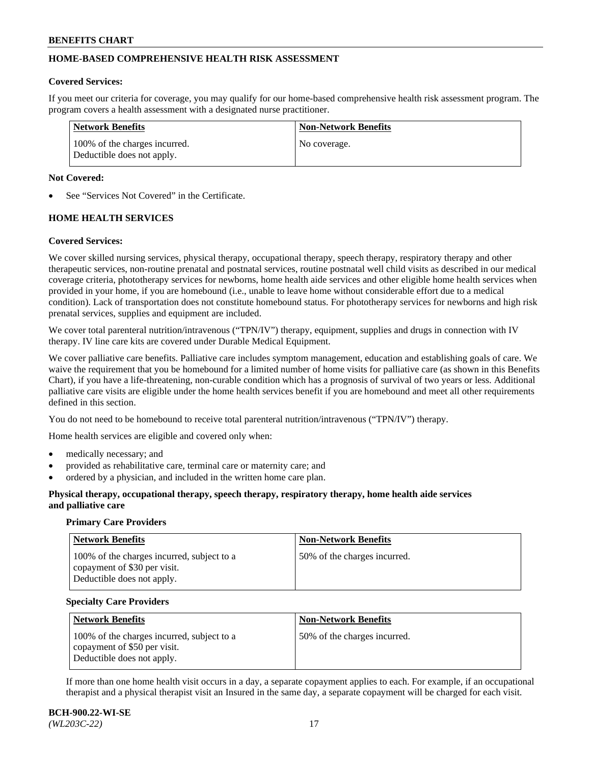# **HOME-BASED COMPREHENSIVE HEALTH RISK ASSESSMENT**

#### **Covered Services:**

If you meet our criteria for coverage, you may qualify for our home-based comprehensive health risk assessment program. The program covers a health assessment with a designated nurse practitioner.

| <b>Network Benefits</b>                                     | <b>Non-Network Benefits</b> |
|-------------------------------------------------------------|-----------------------------|
| 100% of the charges incurred.<br>Deductible does not apply. | No coverage.                |

### **Not Covered:**

See "Services Not Covered" in the Certificate.

# **HOME HEALTH SERVICES**

### **Covered Services:**

We cover skilled nursing services, physical therapy, occupational therapy, speech therapy, respiratory therapy and other therapeutic services, non-routine prenatal and postnatal services, routine postnatal well child visits as described in our medical coverage criteria, phototherapy services for newborns, home health aide services and other eligible home health services when provided in your home, if you are homebound (i.e., unable to leave home without considerable effort due to a medical condition). Lack of transportation does not constitute homebound status. For phototherapy services for newborns and high risk prenatal services, supplies and equipment are included.

We cover total parenteral nutrition/intravenous ("TPN/IV") therapy, equipment, supplies and drugs in connection with IV therapy. IV line care kits are covered under Durable Medical Equipment.

We cover palliative care benefits. Palliative care includes symptom management, education and establishing goals of care. We waive the requirement that you be homebound for a limited number of home visits for palliative care (as shown in this Benefits Chart), if you have a life-threatening, non-curable condition which has a prognosis of survival of two years or less. Additional palliative care visits are eligible under the home health services benefit if you are homebound and meet all other requirements defined in this section.

You do not need to be homebound to receive total parenteral nutrition/intravenous ("TPN/IV") therapy.

Home health services are eligible and covered only when:

- medically necessary; and
- provided as rehabilitative care, terminal care or maternity care; and
- ordered by a physician, and included in the written home care plan.

### **Physical therapy, occupational therapy, speech therapy, respiratory therapy, home health aide services and palliative care**

#### **Primary Care Providers**

| <b>Network Benefits</b>                                                                                  | <b>Non-Network Benefits</b>   |
|----------------------------------------------------------------------------------------------------------|-------------------------------|
| 100% of the charges incurred, subject to a<br>copayment of \$30 per visit.<br>Deductible does not apply. | 150% of the charges incurred. |

#### **Specialty Care Providers**

| <b>Network Benefits</b>                                                                                  | <b>Non-Network Benefits</b>  |
|----------------------------------------------------------------------------------------------------------|------------------------------|
| 100% of the charges incurred, subject to a<br>copayment of \$50 per visit.<br>Deductible does not apply. | 50% of the charges incurred. |

If more than one home health visit occurs in a day, a separate copayment applies to each. For example, if an occupational therapist and a physical therapist visit an Insured in the same day, a separate copayment will be charged for each visit.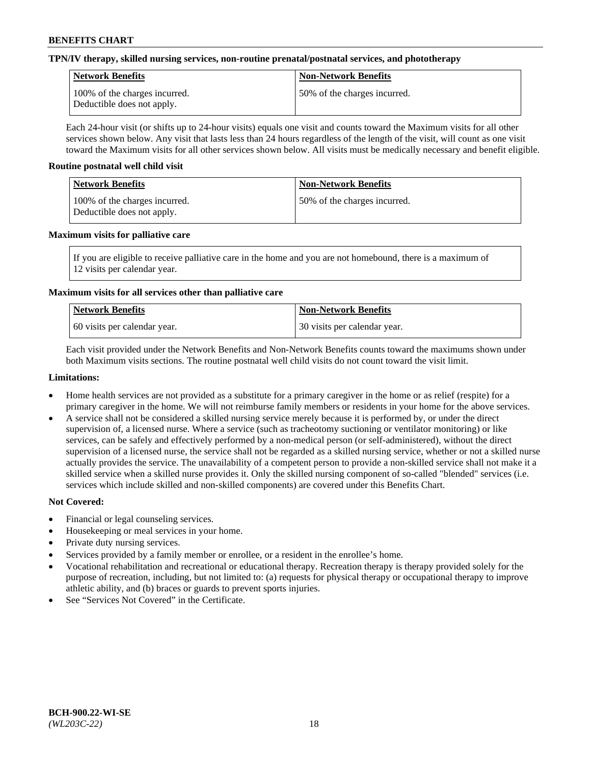# **TPN/IV therapy, skilled nursing services, non-routine prenatal/postnatal services, and phototherapy**

| <b>Network Benefits</b>                                     | <b>Non-Network Benefits</b>  |
|-------------------------------------------------------------|------------------------------|
| 100% of the charges incurred.<br>Deductible does not apply. | 50% of the charges incurred. |

Each 24-hour visit (or shifts up to 24-hour visits) equals one visit and counts toward the Maximum visits for all other services shown below. Any visit that lasts less than 24 hours regardless of the length of the visit, will count as one visit toward the Maximum visits for all other services shown below. All visits must be medically necessary and benefit eligible.

### **Routine postnatal well child visit**

| Network Benefits                                            | <b>Non-Network Benefits</b>  |
|-------------------------------------------------------------|------------------------------|
| 100% of the charges incurred.<br>Deductible does not apply. | 50% of the charges incurred. |

### **Maximum visits for palliative care**

If you are eligible to receive palliative care in the home and you are not homebound, there is a maximum of 12 visits per calendar year.

# **Maximum visits for all services other than palliative care**

| Network Benefits               | <b>Non-Network Benefits</b>  |
|--------------------------------|------------------------------|
| 1.60 visits per calendar year. | 30 visits per calendar year. |

Each visit provided under the Network Benefits and Non-Network Benefits counts toward the maximums shown under both Maximum visits sections. The routine postnatal well child visits do not count toward the visit limit.

### **Limitations:**

- Home health services are not provided as a substitute for a primary caregiver in the home or as relief (respite) for a primary caregiver in the home. We will not reimburse family members or residents in your home for the above services.
- A service shall not be considered a skilled nursing service merely because it is performed by, or under the direct supervision of, a licensed nurse. Where a service (such as tracheotomy suctioning or ventilator monitoring) or like services, can be safely and effectively performed by a non-medical person (or self-administered), without the direct supervision of a licensed nurse, the service shall not be regarded as a skilled nursing service, whether or not a skilled nurse actually provides the service. The unavailability of a competent person to provide a non-skilled service shall not make it a skilled service when a skilled nurse provides it. Only the skilled nursing component of so-called "blended" services (i.e. services which include skilled and non-skilled components) are covered under this Benefits Chart.

- Financial or legal counseling services.
- Housekeeping or meal services in your home.
- Private duty nursing services.
- Services provided by a family member or enrollee, or a resident in the enrollee's home.
- Vocational rehabilitation and recreational or educational therapy. Recreation therapy is therapy provided solely for the purpose of recreation, including, but not limited to: (a) requests for physical therapy or occupational therapy to improve athletic ability, and (b) braces or guards to prevent sports injuries.
- See "Services Not Covered" in the Certificate.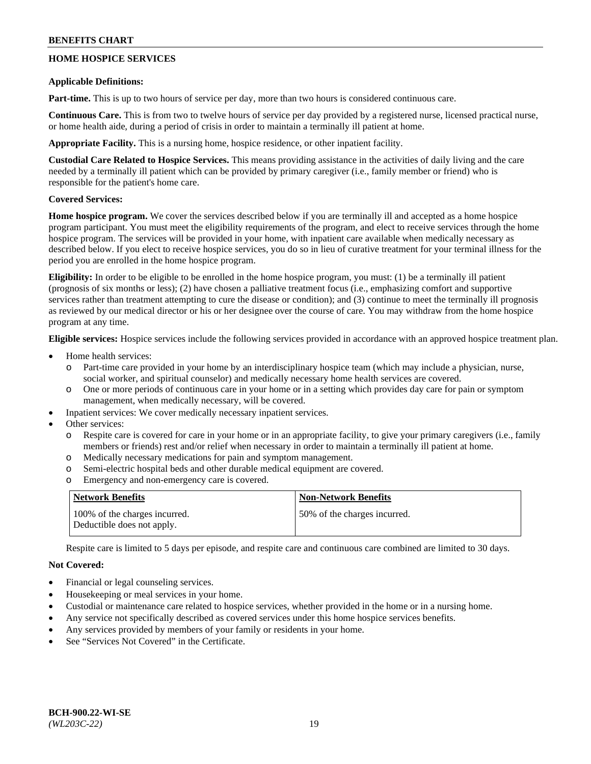# **HOME HOSPICE SERVICES**

### **Applicable Definitions:**

**Part-time.** This is up to two hours of service per day, more than two hours is considered continuous care.

**Continuous Care.** This is from two to twelve hours of service per day provided by a registered nurse, licensed practical nurse, or home health aide, during a period of crisis in order to maintain a terminally ill patient at home.

**Appropriate Facility.** This is a nursing home, hospice residence, or other inpatient facility.

**Custodial Care Related to Hospice Services.** This means providing assistance in the activities of daily living and the care needed by a terminally ill patient which can be provided by primary caregiver (i.e., family member or friend) who is responsible for the patient's home care.

# **Covered Services:**

**Home hospice program.** We cover the services described below if you are terminally ill and accepted as a home hospice program participant. You must meet the eligibility requirements of the program, and elect to receive services through the home hospice program. The services will be provided in your home, with inpatient care available when medically necessary as described below. If you elect to receive hospice services, you do so in lieu of curative treatment for your terminal illness for the period you are enrolled in the home hospice program.

**Eligibility:** In order to be eligible to be enrolled in the home hospice program, you must: (1) be a terminally ill patient (prognosis of six months or less); (2) have chosen a palliative treatment focus (i.e., emphasizing comfort and supportive services rather than treatment attempting to cure the disease or condition); and (3) continue to meet the terminally ill prognosis as reviewed by our medical director or his or her designee over the course of care. You may withdraw from the home hospice program at any time.

**Eligible services:** Hospice services include the following services provided in accordance with an approved hospice treatment plan.

- Home health services:
	- o Part-time care provided in your home by an interdisciplinary hospice team (which may include a physician, nurse, social worker, and spiritual counselor) and medically necessary home health services are covered.
	- o One or more periods of continuous care in your home or in a setting which provides day care for pain or symptom management, when medically necessary, will be covered.
	- Inpatient services: We cover medically necessary inpatient services.
- Other services:
	- Respite care is covered for care in your home or in an appropriate facility, to give your primary caregivers (i.e., family members or friends) rest and/or relief when necessary in order to maintain a terminally ill patient at home.
	- o Medically necessary medications for pain and symptom management.
	- o Semi-electric hospital beds and other durable medical equipment are covered.
	- o Emergency and non-emergency care is covered.

| Network Benefits                                            | <b>Non-Network Benefits</b>  |
|-------------------------------------------------------------|------------------------------|
| 100% of the charges incurred.<br>Deductible does not apply. | 50% of the charges incurred. |

Respite care is limited to 5 days per episode, and respite care and continuous care combined are limited to 30 days.

- Financial or legal counseling services.
- Housekeeping or meal services in your home.
- Custodial or maintenance care related to hospice services, whether provided in the home or in a nursing home.
- Any service not specifically described as covered services under this home hospice services benefits.
- Any services provided by members of your family or residents in your home.
- See "Services Not Covered" in the Certificate.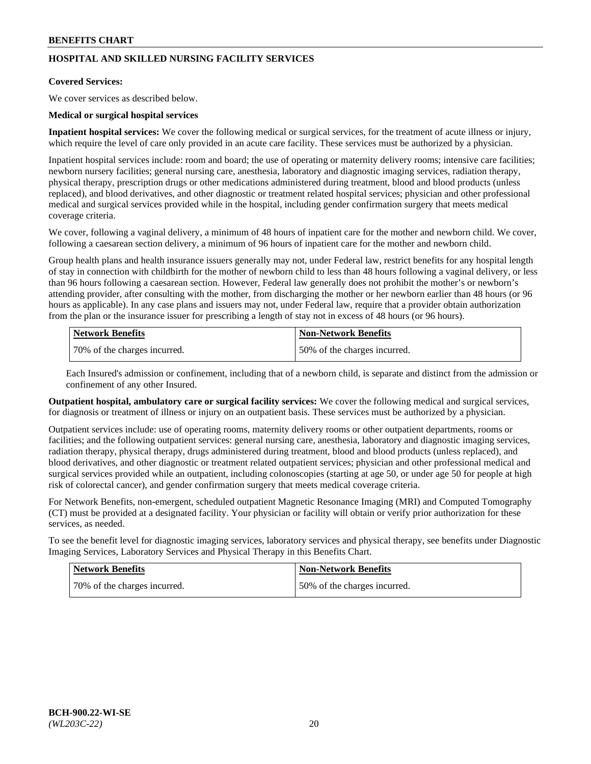# **HOSPITAL AND SKILLED NURSING FACILITY SERVICES**

#### **Covered Services:**

We cover services as described below.

### **Medical or surgical hospital services**

**Inpatient hospital services:** We cover the following medical or surgical services, for the treatment of acute illness or injury, which require the level of care only provided in an acute care facility. These services must be authorized by a physician.

Inpatient hospital services include: room and board; the use of operating or maternity delivery rooms; intensive care facilities; newborn nursery facilities; general nursing care, anesthesia, laboratory and diagnostic imaging services, radiation therapy, physical therapy, prescription drugs or other medications administered during treatment, blood and blood products (unless replaced), and blood derivatives, and other diagnostic or treatment related hospital services; physician and other professional medical and surgical services provided while in the hospital, including gender confirmation surgery that meets medical coverage criteria.

We cover, following a vaginal delivery, a minimum of 48 hours of inpatient care for the mother and newborn child. We cover, following a caesarean section delivery, a minimum of 96 hours of inpatient care for the mother and newborn child.

Group health plans and health insurance issuers generally may not, under Federal law, restrict benefits for any hospital length of stay in connection with childbirth for the mother of newborn child to less than 48 hours following a vaginal delivery, or less than 96 hours following a caesarean section. However, Federal law generally does not prohibit the mother's or newborn's attending provider, after consulting with the mother, from discharging the mother or her newborn earlier than 48 hours (or 96 hours as applicable). In any case plans and issuers may not, under Federal law, require that a provider obtain authorization from the plan or the insurance issuer for prescribing a length of stay not in excess of 48 hours (or 96 hours).

| Network Benefits             | Non-Network Benefits         |
|------------------------------|------------------------------|
| 70% of the charges incurred. | 50% of the charges incurred. |

Each Insured's admission or confinement, including that of a newborn child, is separate and distinct from the admission or confinement of any other Insured.

**Outpatient hospital, ambulatory care or surgical facility services:** We cover the following medical and surgical services, for diagnosis or treatment of illness or injury on an outpatient basis. These services must be authorized by a physician.

Outpatient services include: use of operating rooms, maternity delivery rooms or other outpatient departments, rooms or facilities; and the following outpatient services: general nursing care, anesthesia, laboratory and diagnostic imaging services, radiation therapy, physical therapy, drugs administered during treatment, blood and blood products (unless replaced), and blood derivatives, and other diagnostic or treatment related outpatient services; physician and other professional medical and surgical services provided while an outpatient, including colonoscopies (starting at age 50, or under age 50 for people at high risk of colorectal cancer), and gender confirmation surgery that meets medical coverage criteria.

For Network Benefits, non-emergent, scheduled outpatient Magnetic Resonance Imaging (MRI) and Computed Tomography (CT) must be provided at a designated facility. Your physician or facility will obtain or verify prior authorization for these services, as needed.

To see the benefit level for diagnostic imaging services, laboratory services and physical therapy, see benefits under Diagnostic Imaging Services, Laboratory Services and Physical Therapy in this Benefits Chart.

| <b>Network Benefits</b>      | <b>Non-Network Benefits</b>   |
|------------------------------|-------------------------------|
| 70% of the charges incurred. | 150% of the charges incurred. |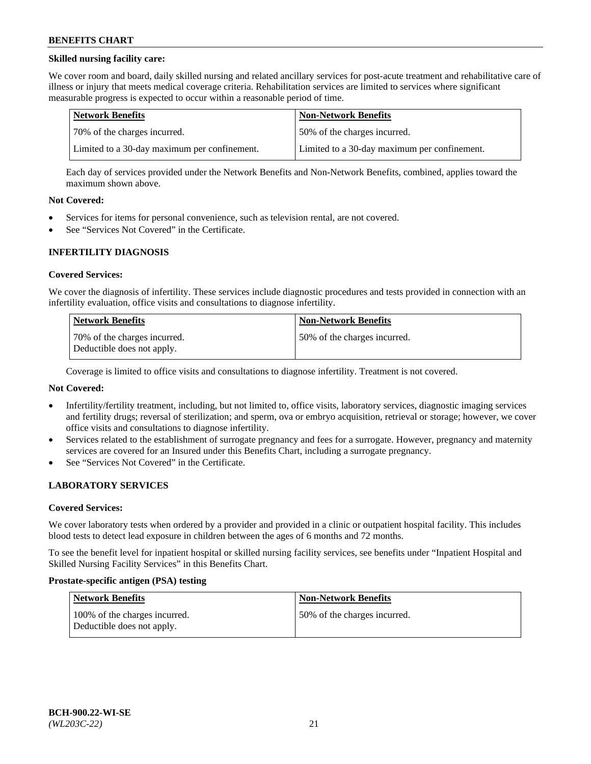# **Skilled nursing facility care:**

We cover room and board, daily skilled nursing and related ancillary services for post-acute treatment and rehabilitative care of illness or injury that meets medical coverage criteria. Rehabilitation services are limited to services where significant measurable progress is expected to occur within a reasonable period of time.

| Network Benefits                             | <b>Non-Network Benefits</b>                  |
|----------------------------------------------|----------------------------------------------|
| 170% of the charges incurred.                | 50% of the charges incurred.                 |
| Limited to a 30-day maximum per confinement. | Limited to a 30-day maximum per confinement. |

Each day of services provided under the Network Benefits and Non-Network Benefits, combined, applies toward the maximum shown above.

### **Not Covered:**

- Services for items for personal convenience, such as television rental, are not covered.
- See "Services Not Covered" in the Certificate.

### **INFERTILITY DIAGNOSIS**

#### **Covered Services:**

We cover the diagnosis of infertility. These services include diagnostic procedures and tests provided in connection with an infertility evaluation, office visits and consultations to diagnose infertility.

| <b>Network Benefits</b>                                    | <b>Non-Network Benefits</b>  |
|------------------------------------------------------------|------------------------------|
| 70% of the charges incurred.<br>Deductible does not apply. | 50% of the charges incurred. |

Coverage is limited to office visits and consultations to diagnose infertility. Treatment is not covered.

# **Not Covered:**

- Infertility/fertility treatment, including, but not limited to, office visits, laboratory services, diagnostic imaging services and fertility drugs; reversal of sterilization; and sperm, ova or embryo acquisition, retrieval or storage; however, we cover office visits and consultations to diagnose infertility.
- Services related to the establishment of surrogate pregnancy and fees for a surrogate. However, pregnancy and maternity services are covered for an Insured under this Benefits Chart, including a surrogate pregnancy.
- See "Services Not Covered" in the Certificate.

# **LABORATORY SERVICES**

#### **Covered Services:**

We cover laboratory tests when ordered by a provider and provided in a clinic or outpatient hospital facility. This includes blood tests to detect lead exposure in children between the ages of 6 months and 72 months.

To see the benefit level for inpatient hospital or skilled nursing facility services, see benefits under "Inpatient Hospital and Skilled Nursing Facility Services" in this Benefits Chart.

#### **Prostate-specific antigen (PSA) testing**

| Network Benefits                                            | <b>Non-Network Benefits</b>  |
|-------------------------------------------------------------|------------------------------|
| 100% of the charges incurred.<br>Deductible does not apply. | 50% of the charges incurred. |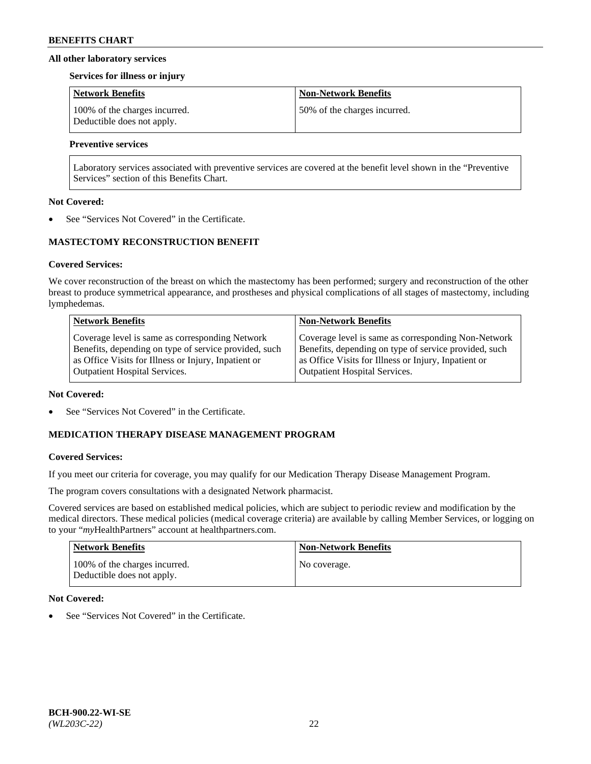### **All other laboratory services**

#### **Services for illness or injury**

| <b>Network Benefits</b>                                     | <b>Non-Network Benefits</b>  |
|-------------------------------------------------------------|------------------------------|
| 100% of the charges incurred.<br>Deductible does not apply. | 50% of the charges incurred. |

# **Preventive services**

Laboratory services associated with preventive services are covered at the benefit level shown in the "Preventive Services" section of this Benefits Chart.

### **Not Covered:**

See "Services Not Covered" in the Certificate.

# **MASTECTOMY RECONSTRUCTION BENEFIT**

### **Covered Services:**

We cover reconstruction of the breast on which the mastectomy has been performed; surgery and reconstruction of the other breast to produce symmetrical appearance, and prostheses and physical complications of all stages of mastectomy, including lymphedemas.

| <b>Network Benefits</b>                               | <b>Non-Network Benefits</b>                           |
|-------------------------------------------------------|-------------------------------------------------------|
| Coverage level is same as corresponding Network       | Coverage level is same as corresponding Non-Network   |
| Benefits, depending on type of service provided, such | Benefits, depending on type of service provided, such |
| as Office Visits for Illness or Injury, Inpatient or  | as Office Visits for Illness or Injury, Inpatient or  |
| <b>Outpatient Hospital Services.</b>                  | Outpatient Hospital Services.                         |

#### **Not Covered:**

See "Services Not Covered" in the Certificate.

# **MEDICATION THERAPY DISEASE MANAGEMENT PROGRAM**

# **Covered Services:**

If you meet our criteria for coverage, you may qualify for our Medication Therapy Disease Management Program.

The program covers consultations with a designated Network pharmacist.

Covered services are based on established medical policies, which are subject to periodic review and modification by the medical directors. These medical policies (medical coverage criteria) are available by calling Member Services, or logging on to your "*my*HealthPartners" account at [healthpartners.com.](http://www.healthpartners.com/)

| Network Benefits                                            | <b>Non-Network Benefits</b> |
|-------------------------------------------------------------|-----------------------------|
| 100% of the charges incurred.<br>Deductible does not apply. | No coverage.                |

# **Not Covered:**

See "Services Not Covered" in the Certificate.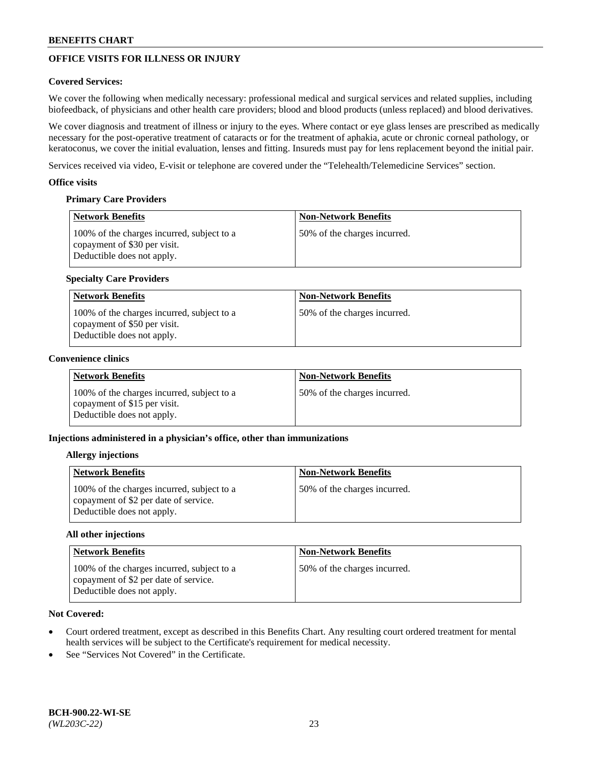# **OFFICE VISITS FOR ILLNESS OR INJURY**

# **Covered Services:**

We cover the following when medically necessary: professional medical and surgical services and related supplies, including biofeedback, of physicians and other health care providers; blood and blood products (unless replaced) and blood derivatives.

We cover diagnosis and treatment of illness or injury to the eyes. Where contact or eye glass lenses are prescribed as medically necessary for the post-operative treatment of cataracts or for the treatment of aphakia, acute or chronic corneal pathology, or keratoconus, we cover the initial evaluation, lenses and fitting. Insureds must pay for lens replacement beyond the initial pair.

Services received via video, E-visit or telephone are covered under the "Telehealth/Telemedicine Services" section.

## **Office visits**

# **Primary Care Providers**

| <b>Network Benefits</b>                                                                                  | <b>Non-Network Benefits</b>  |
|----------------------------------------------------------------------------------------------------------|------------------------------|
| 100% of the charges incurred, subject to a<br>copayment of \$30 per visit.<br>Deductible does not apply. | 50% of the charges incurred. |

# **Specialty Care Providers**

| Network Benefits                                                                                         | <b>Non-Network Benefits</b>  |
|----------------------------------------------------------------------------------------------------------|------------------------------|
| 100% of the charges incurred, subject to a<br>copayment of \$50 per visit.<br>Deductible does not apply. | 50% of the charges incurred. |

### **Convenience clinics**

| <b>Network Benefits</b>                                                                                  | <b>Non-Network Benefits</b>  |
|----------------------------------------------------------------------------------------------------------|------------------------------|
| 100% of the charges incurred, subject to a<br>copayment of \$15 per visit.<br>Deductible does not apply. | 50% of the charges incurred. |

# **Injections administered in a physician's office, other than immunizations**

#### **Allergy injections**

| <b>Network Benefits</b>                                                                                           | <b>Non-Network Benefits</b>  |
|-------------------------------------------------------------------------------------------------------------------|------------------------------|
| 100% of the charges incurred, subject to a<br>copayment of \$2 per date of service.<br>Deductible does not apply. | 50% of the charges incurred. |

#### **All other injections**

| Network Benefits                                                                                                  | <b>Non-Network Benefits</b>  |
|-------------------------------------------------------------------------------------------------------------------|------------------------------|
| 100% of the charges incurred, subject to a<br>copayment of \$2 per date of service.<br>Deductible does not apply. | 50% of the charges incurred. |

- Court ordered treatment, except as described in this Benefits Chart. Any resulting court ordered treatment for mental health services will be subject to the Certificate's requirement for medical necessity.
- See "Services Not Covered" in the Certificate.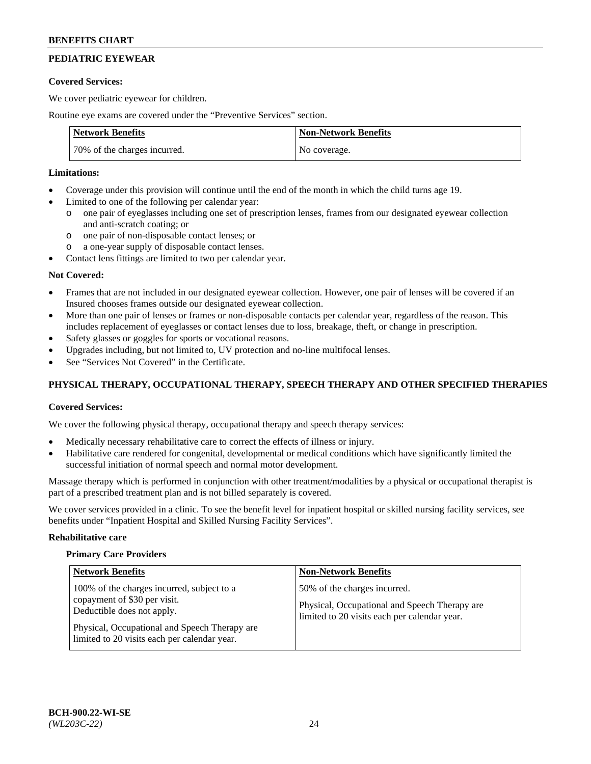# **PEDIATRIC EYEWEAR**

## **Covered Services:**

We cover pediatric eyewear for children.

Routine eye exams are covered under the "Preventive Services" section.

| <b>Network Benefits</b>      | <b>Non-Network Benefits</b> |
|------------------------------|-----------------------------|
| 70% of the charges incurred. | No coverage.                |

# **Limitations:**

- Coverage under this provision will continue until the end of the month in which the child turns age 19.
- Limited to one of the following per calendar year:
	- o one pair of eyeglasses including one set of prescription lenses, frames from our designated eyewear collection and anti-scratch coating; or
	- o one pair of non-disposable contact lenses; or
	- o a one-year supply of disposable contact lenses.
- Contact lens fittings are limited to two per calendar year.

# **Not Covered:**

- Frames that are not included in our designated eyewear collection. However, one pair of lenses will be covered if an Insured chooses frames outside our designated eyewear collection.
- More than one pair of lenses or frames or non-disposable contacts per calendar year, regardless of the reason. This includes replacement of eyeglasses or contact lenses due to loss, breakage, theft, or change in prescription.
- Safety glasses or goggles for sports or vocational reasons.
- Upgrades including, but not limited to, UV protection and no-line multifocal lenses.
- See "Services Not Covered" in the Certificate.

# **PHYSICAL THERAPY, OCCUPATIONAL THERAPY, SPEECH THERAPY AND OTHER SPECIFIED THERAPIES**

# **Covered Services:**

We cover the following physical therapy, occupational therapy and speech therapy services:

- Medically necessary rehabilitative care to correct the effects of illness or injury.
- Habilitative care rendered for congenital, developmental or medical conditions which have significantly limited the successful initiation of normal speech and normal motor development.

Massage therapy which is performed in conjunction with other treatment/modalities by a physical or occupational therapist is part of a prescribed treatment plan and is not billed separately is covered.

We cover services provided in a clinic. To see the benefit level for inpatient hospital or skilled nursing facility services, see benefits under "Inpatient Hospital and Skilled Nursing Facility Services".

#### **Rehabilitative care**

#### **Primary Care Providers**

| <b>Network Benefits</b>                                                                                                                                                                                   | <b>Non-Network Benefits</b>                                                                                                   |
|-----------------------------------------------------------------------------------------------------------------------------------------------------------------------------------------------------------|-------------------------------------------------------------------------------------------------------------------------------|
| 100% of the charges incurred, subject to a<br>copayment of \$30 per visit.<br>Deductible does not apply.<br>Physical, Occupational and Speech Therapy are<br>limited to 20 visits each per calendar year. | 50% of the charges incurred.<br>Physical, Occupational and Speech Therapy are<br>limited to 20 visits each per calendar year. |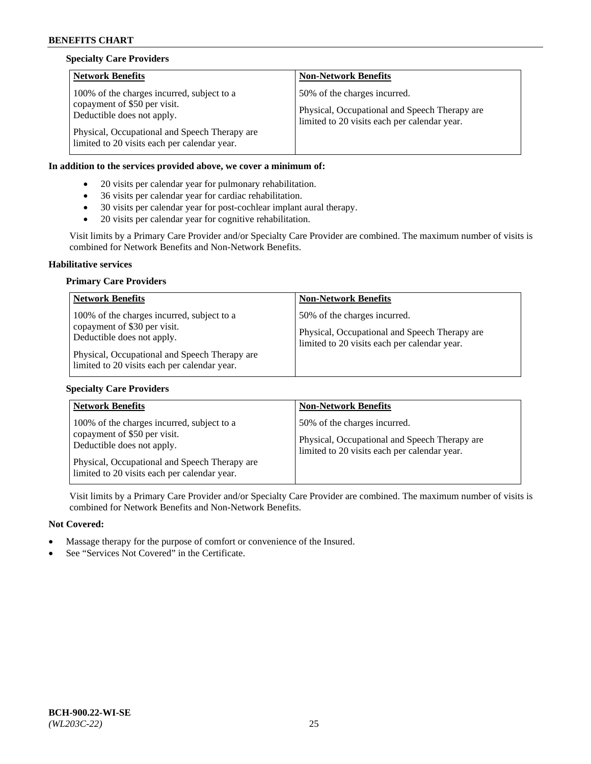# **Specialty Care Providers**

| <b>Network Benefits</b>                                                                                                                                                                                   | <b>Non-Network Benefits</b>                                                                                                   |
|-----------------------------------------------------------------------------------------------------------------------------------------------------------------------------------------------------------|-------------------------------------------------------------------------------------------------------------------------------|
| 100% of the charges incurred, subject to a<br>copayment of \$50 per visit.<br>Deductible does not apply.<br>Physical, Occupational and Speech Therapy are<br>limited to 20 visits each per calendar year. | 50% of the charges incurred.<br>Physical, Occupational and Speech Therapy are<br>limited to 20 visits each per calendar year. |

# **In addition to the services provided above, we cover a minimum of:**

- 20 visits per calendar year for pulmonary rehabilitation.
- 36 visits per calendar year for cardiac rehabilitation.
- 30 visits per calendar year for post-cochlear implant aural therapy.
- 20 visits per calendar year for cognitive rehabilitation.

Visit limits by a Primary Care Provider and/or Specialty Care Provider are combined. The maximum number of visits is combined for Network Benefits and Non-Network Benefits.

#### **Habilitative services**

### **Primary Care Providers**

| <b>Network Benefits</b>                                                                                                                                                                                   | <b>Non-Network Benefits</b>                                                                                                   |
|-----------------------------------------------------------------------------------------------------------------------------------------------------------------------------------------------------------|-------------------------------------------------------------------------------------------------------------------------------|
| 100% of the charges incurred, subject to a<br>copayment of \$30 per visit.<br>Deductible does not apply.<br>Physical, Occupational and Speech Therapy are<br>limited to 20 visits each per calendar year. | 50% of the charges incurred.<br>Physical, Occupational and Speech Therapy are<br>limited to 20 visits each per calendar year. |

# **Specialty Care Providers**

| <b>Network Benefits</b>                                                                                                                                   | <b>Non-Network Benefits</b>                                                                                                   |
|-----------------------------------------------------------------------------------------------------------------------------------------------------------|-------------------------------------------------------------------------------------------------------------------------------|
| 100% of the charges incurred, subject to a<br>copayment of \$50 per visit.<br>Deductible does not apply.<br>Physical, Occupational and Speech Therapy are | 50% of the charges incurred.<br>Physical, Occupational and Speech Therapy are<br>limited to 20 visits each per calendar year. |
| limited to 20 visits each per calendar year.                                                                                                              |                                                                                                                               |

Visit limits by a Primary Care Provider and/or Specialty Care Provider are combined. The maximum number of visits is combined for Network Benefits and Non-Network Benefits.

- Massage therapy for the purpose of comfort or convenience of the Insured.
- See "Services Not Covered" in the Certificate.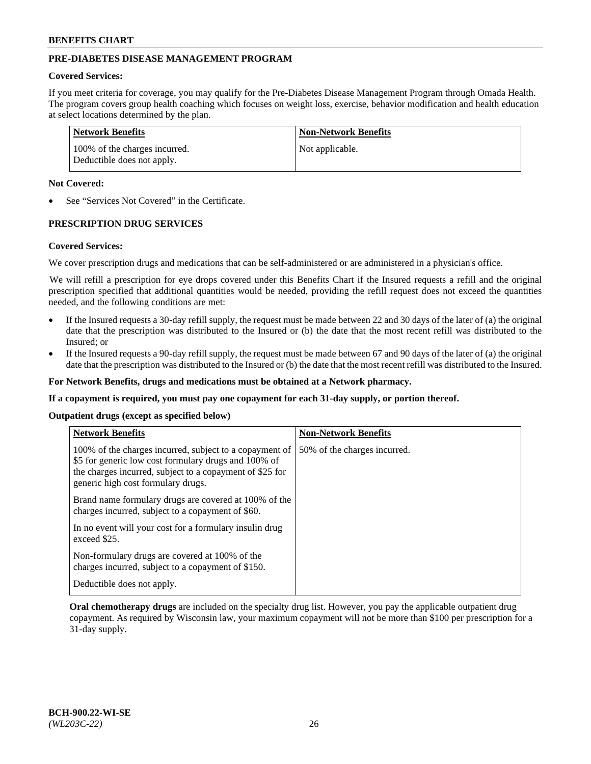# **PRE-DIABETES DISEASE MANAGEMENT PROGRAM**

### **Covered Services:**

If you meet criteria for coverage, you may qualify for the Pre-Diabetes Disease Management Program through Omada Health. The program covers group health coaching which focuses on weight loss, exercise, behavior modification and health education at select locations determined by the plan.

| Network Benefits                                            | <b>Non-Network Benefits</b> |
|-------------------------------------------------------------|-----------------------------|
| 100% of the charges incurred.<br>Deductible does not apply. | Not applicable.             |

## **Not Covered:**

See "Services Not Covered" in the Certificate.

# **PRESCRIPTION DRUG SERVICES**

#### **Covered Services:**

We cover prescription drugs and medications that can be self-administered or are administered in a physician's office.

We will refill a prescription for eye drops covered under this Benefits Chart if the Insured requests a refill and the original prescription specified that additional quantities would be needed, providing the refill request does not exceed the quantities needed, and the following conditions are met:

- If the Insured requests a 30-day refill supply, the request must be made between 22 and 30 days of the later of (a) the original date that the prescription was distributed to the Insured or (b) the date that the most recent refill was distributed to the Insured; or
- If the Insured requests a 90-day refill supply, the request must be made between 67 and 90 days of the later of (a) the original date that the prescription was distributed to the Insured or (b) the date that the most recent refill was distributed to the Insured.

**For Network Benefits, drugs and medications must be obtained at a Network pharmacy.**

**If a copayment is required, you must pay one copayment for each 31-day supply, or portion thereof.**

**Outpatient drugs (except as specified below)**

| <b>Network Benefits</b>                                                                                                                                                                                           | <b>Non-Network Benefits</b>  |
|-------------------------------------------------------------------------------------------------------------------------------------------------------------------------------------------------------------------|------------------------------|
| 100% of the charges incurred, subject to a copayment of<br>\$5 for generic low cost formulary drugs and 100% of<br>the charges incurred, subject to a copayment of \$25 for<br>generic high cost formulary drugs. | 50% of the charges incurred. |
| Brand name formulary drugs are covered at 100% of the<br>charges incurred, subject to a copayment of \$60.                                                                                                        |                              |
| In no event will your cost for a formulary insulin drug<br>exceed \$25.                                                                                                                                           |                              |
| Non-formulary drugs are covered at 100% of the<br>charges incurred, subject to a copayment of \$150.                                                                                                              |                              |
| Deductible does not apply.                                                                                                                                                                                        |                              |

**Oral chemotherapy drugs** are included on the specialty drug list. However, you pay the applicable outpatient drug copayment. As required by Wisconsin law, your maximum copayment will not be more than \$100 per prescription for a 31-day supply.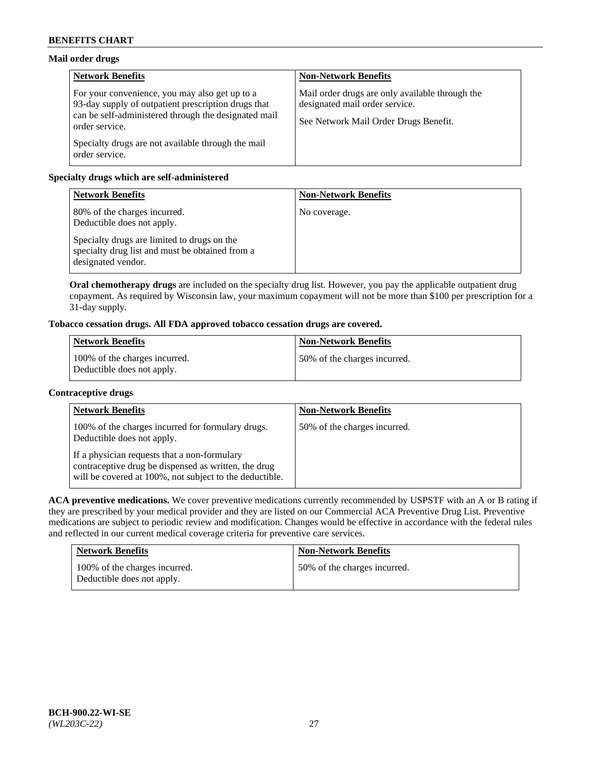# **Mail order drugs**

| <b>Network Benefits</b>                                                                                                                                                         | <b>Non-Network Benefits</b>                                                                                                |
|---------------------------------------------------------------------------------------------------------------------------------------------------------------------------------|----------------------------------------------------------------------------------------------------------------------------|
| For your convenience, you may also get up to a<br>93-day supply of outpatient prescription drugs that<br>can be self-administered through the designated mail<br>order service. | Mail order drugs are only available through the<br>designated mail order service.<br>See Network Mail Order Drugs Benefit. |
| Specialty drugs are not available through the mail<br>order service.                                                                                                            |                                                                                                                            |

# **Specialty drugs which are self-administered**

| <b>Network Benefits</b>                                                                                              | <b>Non-Network Benefits</b> |
|----------------------------------------------------------------------------------------------------------------------|-----------------------------|
| 80% of the charges incurred.<br>Deductible does not apply.                                                           | No coverage.                |
| Specialty drugs are limited to drugs on the<br>specialty drug list and must be obtained from a<br>designated vendor. |                             |

**Oral chemotherapy drugs** are included on the specialty drug list. However, you pay the applicable outpatient drug copayment. As required by Wisconsin law, your maximum copayment will not be more than \$100 per prescription for a 31-day supply.

# **Tobacco cessation drugs. All FDA approved tobacco cessation drugs are covered.**

| <b>Network Benefits</b>                                     | <b>Non-Network Benefits</b>  |
|-------------------------------------------------------------|------------------------------|
| 100% of the charges incurred.<br>Deductible does not apply. | 50% of the charges incurred. |

# **Contraceptive drugs**

| <b>Network Benefits</b>                                                                                                                                         | <b>Non-Network Benefits</b>  |
|-----------------------------------------------------------------------------------------------------------------------------------------------------------------|------------------------------|
| 100% of the charges incurred for formulary drugs.<br>Deductible does not apply.                                                                                 | 50% of the charges incurred. |
| If a physician requests that a non-formulary<br>contraceptive drug be dispensed as written, the drug<br>will be covered at 100%, not subject to the deductible. |                              |

**ACA preventive medications.** We cover preventive medications currently recommended by USPSTF with an A or B rating if they are prescribed by your medical provider and they are listed on our Commercial ACA Preventive Drug List. Preventive medications are subject to periodic review and modification. Changes would be effective in accordance with the federal rules and reflected in our current medical coverage criteria for preventive care services.

| <b>Network Benefits</b>                                     | <b>Non-Network Benefits</b>  |
|-------------------------------------------------------------|------------------------------|
| 100% of the charges incurred.<br>Deductible does not apply. | 50% of the charges incurred. |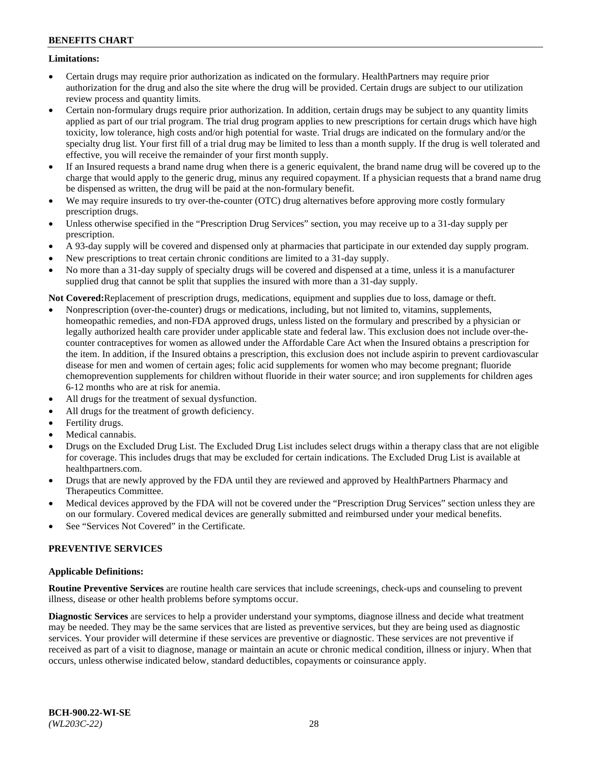# **Limitations:**

- Certain drugs may require prior authorization as indicated on the formulary. HealthPartners may require prior authorization for the drug and also the site where the drug will be provided. Certain drugs are subject to our utilization review process and quantity limits.
- Certain non-formulary drugs require prior authorization. In addition, certain drugs may be subject to any quantity limits applied as part of our trial program. The trial drug program applies to new prescriptions for certain drugs which have high toxicity, low tolerance, high costs and/or high potential for waste. Trial drugs are indicated on the formulary and/or the specialty drug list. Your first fill of a trial drug may be limited to less than a month supply. If the drug is well tolerated and effective, you will receive the remainder of your first month supply.
- If an Insured requests a brand name drug when there is a generic equivalent, the brand name drug will be covered up to the charge that would apply to the generic drug, minus any required copayment. If a physician requests that a brand name drug be dispensed as written, the drug will be paid at the non-formulary benefit.
- We may require insureds to try over-the-counter (OTC) drug alternatives before approving more costly formulary prescription drugs.
- Unless otherwise specified in the "Prescription Drug Services" section, you may receive up to a 31-day supply per prescription.
- A 93-day supply will be covered and dispensed only at pharmacies that participate in our extended day supply program.
- New prescriptions to treat certain chronic conditions are limited to a 31-day supply.
- No more than a 31-day supply of specialty drugs will be covered and dispensed at a time, unless it is a manufacturer supplied drug that cannot be split that supplies the insured with more than a 31-day supply.

**Not Covered:**Replacement of prescription drugs, medications, equipment and supplies due to loss, damage or theft.

- Nonprescription (over-the-counter) drugs or medications, including, but not limited to, vitamins, supplements, homeopathic remedies, and non-FDA approved drugs, unless listed on the formulary and prescribed by a physician or legally authorized health care provider under applicable state and federal law. This exclusion does not include over-thecounter contraceptives for women as allowed under the Affordable Care Act when the Insured obtains a prescription for the item. In addition, if the Insured obtains a prescription, this exclusion does not include aspirin to prevent cardiovascular disease for men and women of certain ages; folic acid supplements for women who may become pregnant; fluoride chemoprevention supplements for children without fluoride in their water source; and iron supplements for children ages 6-12 months who are at risk for anemia.
- All drugs for the treatment of sexual dysfunction.
- All drugs for the treatment of growth deficiency.
- Fertility drugs.
- Medical cannabis.
- Drugs on the Excluded Drug List. The Excluded Drug List includes select drugs within a therapy class that are not eligible for coverage. This includes drugs that may be excluded for certain indications. The Excluded Drug List is available at [healthpartners.com.](http://www.healthpartners.com/)
- Drugs that are newly approved by the FDA until they are reviewed and approved by HealthPartners Pharmacy and Therapeutics Committee.
- Medical devices approved by the FDA will not be covered under the "Prescription Drug Services" section unless they are on our formulary. Covered medical devices are generally submitted and reimbursed under your medical benefits.
- See "Services Not Covered" in the Certificate.

# **PREVENTIVE SERVICES**

# **Applicable Definitions:**

**Routine Preventive Services** are routine health care services that include screenings, check-ups and counseling to prevent illness, disease or other health problems before symptoms occur.

**Diagnostic Services** are services to help a provider understand your symptoms, diagnose illness and decide what treatment may be needed. They may be the same services that are listed as preventive services, but they are being used as diagnostic services. Your provider will determine if these services are preventive or diagnostic. These services are not preventive if received as part of a visit to diagnose, manage or maintain an acute or chronic medical condition, illness or injury. When that occurs, unless otherwise indicated below, standard deductibles, copayments or coinsurance apply.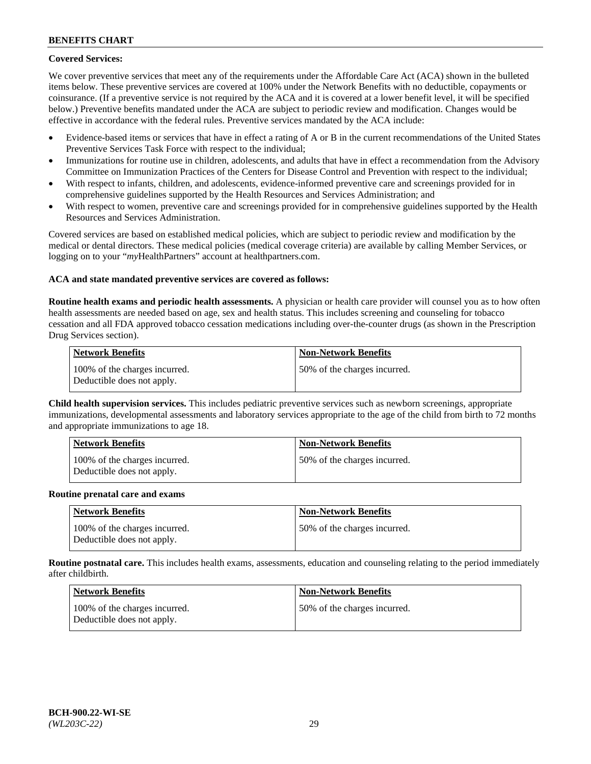# **Covered Services:**

We cover preventive services that meet any of the requirements under the Affordable Care Act (ACA) shown in the bulleted items below. These preventive services are covered at 100% under the Network Benefits with no deductible, copayments or coinsurance. (If a preventive service is not required by the ACA and it is covered at a lower benefit level, it will be specified below.) Preventive benefits mandated under the ACA are subject to periodic review and modification. Changes would be effective in accordance with the federal rules. Preventive services mandated by the ACA include:

- Evidence-based items or services that have in effect a rating of A or B in the current recommendations of the United States Preventive Services Task Force with respect to the individual;
- Immunizations for routine use in children, adolescents, and adults that have in effect a recommendation from the Advisory Committee on Immunization Practices of the Centers for Disease Control and Prevention with respect to the individual;
- With respect to infants, children, and adolescents, evidence-informed preventive care and screenings provided for in comprehensive guidelines supported by the Health Resources and Services Administration; and
- With respect to women, preventive care and screenings provided for in comprehensive guidelines supported by the Health Resources and Services Administration.

Covered services are based on established medical policies, which are subject to periodic review and modification by the medical or dental directors. These medical policies (medical coverage criteria) are available by calling Member Services, or logging on to your "*my*HealthPartners" account at [healthpartners.com.](https://www.healthpartners.com/hp/index.html)

# **ACA and state mandated preventive services are covered as follows:**

**Routine health exams and periodic health assessments.** A physician or health care provider will counsel you as to how often health assessments are needed based on age, sex and health status. This includes screening and counseling for tobacco cessation and all FDA approved tobacco cessation medications including over-the-counter drugs (as shown in the Prescription Drug Services section).

| Network Benefits                                            | <b>Non-Network Benefits</b>  |
|-------------------------------------------------------------|------------------------------|
| 100% of the charges incurred.<br>Deductible does not apply. | 50% of the charges incurred. |

**Child health supervision services.** This includes pediatric preventive services such as newborn screenings, appropriate immunizations, developmental assessments and laboratory services appropriate to the age of the child from birth to 72 months and appropriate immunizations to age 18.

| <b>Network Benefits</b>                                     | <b>Non-Network Benefits</b>  |
|-------------------------------------------------------------|------------------------------|
| 100% of the charges incurred.<br>Deductible does not apply. | 50% of the charges incurred. |

#### **Routine prenatal care and exams**

| <b>Network Benefits</b>                                     | <b>Non-Network Benefits</b>   |
|-------------------------------------------------------------|-------------------------------|
| 100% of the charges incurred.<br>Deductible does not apply. | 150% of the charges incurred. |

**Routine postnatal care.** This includes health exams, assessments, education and counseling relating to the period immediately after childbirth.

| Network Benefits                                            | <b>Non-Network Benefits</b>  |
|-------------------------------------------------------------|------------------------------|
| 100% of the charges incurred.<br>Deductible does not apply. | 50% of the charges incurred. |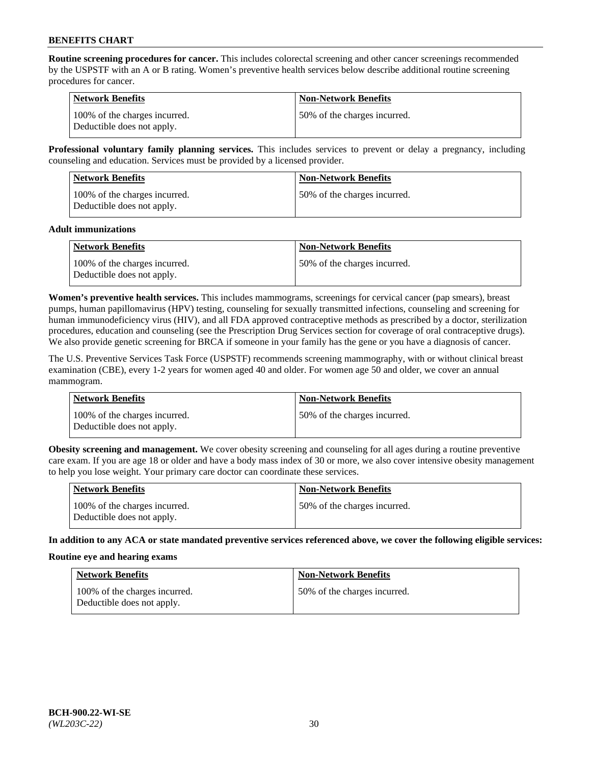**Routine screening procedures for cancer.** This includes colorectal screening and other cancer screenings recommended by the USPSTF with an A or B rating. Women's preventive health services below describe additional routine screening procedures for cancer.

| <b>Network Benefits</b>                                     | <b>Non-Network Benefits</b>   |
|-------------------------------------------------------------|-------------------------------|
| 100% of the charges incurred.<br>Deductible does not apply. | 150% of the charges incurred. |

**Professional voluntary family planning services.** This includes services to prevent or delay a pregnancy, including counseling and education. Services must be provided by a licensed provider.

| <b>Network Benefits</b>                                     | <b>Non-Network Benefits</b>  |
|-------------------------------------------------------------|------------------------------|
| 100% of the charges incurred.<br>Deductible does not apply. | 50% of the charges incurred. |

#### **Adult immunizations**

| <b>Network Benefits</b>                                     | <b>Non-Network Benefits</b>  |
|-------------------------------------------------------------|------------------------------|
| 100% of the charges incurred.<br>Deductible does not apply. | 50% of the charges incurred. |

**Women's preventive health services.** This includes mammograms, screenings for cervical cancer (pap smears), breast pumps, human papillomavirus (HPV) testing, counseling for sexually transmitted infections, counseling and screening for human immunodeficiency virus (HIV), and all FDA approved contraceptive methods as prescribed by a doctor, sterilization procedures, education and counseling (see the Prescription Drug Services section for coverage of oral contraceptive drugs). We also provide genetic screening for BRCA if someone in your family has the gene or you have a diagnosis of cancer.

The U.S. Preventive Services Task Force (USPSTF) recommends screening mammography, with or without clinical breast examination (CBE), every 1-2 years for women aged 40 and older. For women age 50 and older, we cover an annual mammogram.

| <b>Network Benefits</b>                                     | <b>Non-Network Benefits</b>   |
|-------------------------------------------------------------|-------------------------------|
| 100% of the charges incurred.<br>Deductible does not apply. | 150% of the charges incurred. |

**Obesity screening and management.** We cover obesity screening and counseling for all ages during a routine preventive care exam. If you are age 18 or older and have a body mass index of 30 or more, we also cover intensive obesity management to help you lose weight. Your primary care doctor can coordinate these services.

| Network Benefits                                            | <b>Non-Network Benefits</b>  |
|-------------------------------------------------------------|------------------------------|
| 100% of the charges incurred.<br>Deductible does not apply. | 50% of the charges incurred. |

**In addition to any ACA or state mandated preventive services referenced above, we cover the following eligible services:**

#### **Routine eye and hearing exams**

| <b>Network Benefits</b>                                     | <b>Non-Network Benefits</b>  |
|-------------------------------------------------------------|------------------------------|
| 100% of the charges incurred.<br>Deductible does not apply. | 50% of the charges incurred. |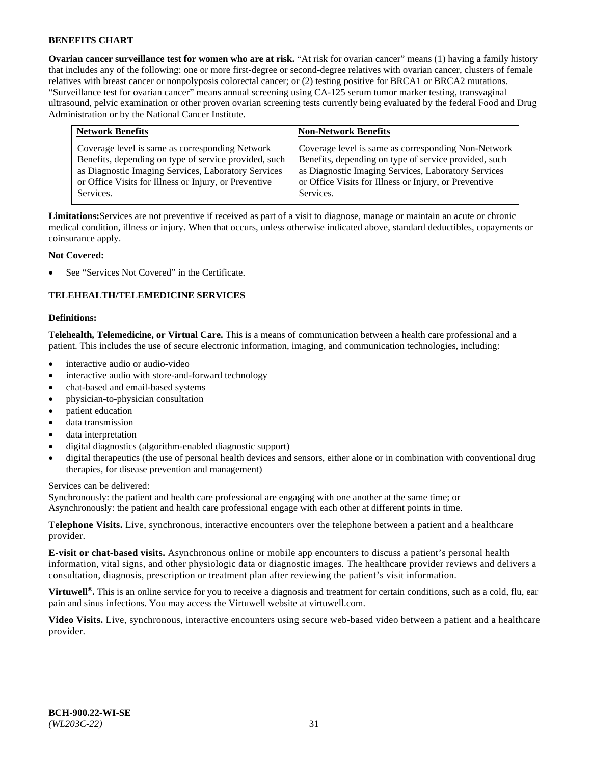**Ovarian cancer surveillance test for women who are at risk.** "At risk for ovarian cancer" means (1) having a family history that includes any of the following: one or more first-degree or second-degree relatives with ovarian cancer, clusters of female relatives with breast cancer or nonpolyposis colorectal cancer; or (2) testing positive for BRCA1 or BRCA2 mutations. "Surveillance test for ovarian cancer" means annual screening using CA-125 serum tumor marker testing, transvaginal ultrasound, pelvic examination or other proven ovarian screening tests currently being evaluated by the federal Food and Drug Administration or by the National Cancer Institute.

| <b>Network Benefits</b>                               | <b>Non-Network Benefits</b>                           |
|-------------------------------------------------------|-------------------------------------------------------|
| Coverage level is same as corresponding Network       | Coverage level is same as corresponding Non-Network   |
| Benefits, depending on type of service provided, such | Benefits, depending on type of service provided, such |
| as Diagnostic Imaging Services, Laboratory Services   | as Diagnostic Imaging Services, Laboratory Services   |
| or Office Visits for Illness or Injury, or Preventive | or Office Visits for Illness or Injury, or Preventive |
| Services.                                             | Services.                                             |

**Limitations:**Services are not preventive if received as part of a visit to diagnose, manage or maintain an acute or chronic medical condition, illness or injury. When that occurs, unless otherwise indicated above, standard deductibles, copayments or coinsurance apply.

# **Not Covered:**

See "Services Not Covered" in the Certificate.

# **TELEHEALTH/TELEMEDICINE SERVICES**

#### **Definitions:**

**Telehealth, Telemedicine, or Virtual Care.** This is a means of communication between a health care professional and a patient. This includes the use of secure electronic information, imaging, and communication technologies, including:

- interactive audio or audio-video
- interactive audio with store-and-forward technology
- chat-based and email-based systems
- physician-to-physician consultation
- patient education
- data transmission
- data interpretation
- digital diagnostics (algorithm-enabled diagnostic support)
- digital therapeutics (the use of personal health devices and sensors, either alone or in combination with conventional drug therapies, for disease prevention and management)

Services can be delivered:

Synchronously: the patient and health care professional are engaging with one another at the same time; or Asynchronously: the patient and health care professional engage with each other at different points in time.

**Telephone Visits.** Live, synchronous, interactive encounters over the telephone between a patient and a healthcare provider.

**E-visit or chat-based visits.** Asynchronous online or mobile app encounters to discuss a patient's personal health information, vital signs, and other physiologic data or diagnostic images. The healthcare provider reviews and delivers a consultation, diagnosis, prescription or treatment plan after reviewing the patient's visit information.

**Virtuwell<sup>®</sup>.** This is an online service for you to receive a diagnosis and treatment for certain conditions, such as a cold, flu, ear pain and sinus infections. You may access the Virtuwell website at [virtuwell.com.](https://www.virtuwell.com/)

**Video Visits.** Live, synchronous, interactive encounters using secure web-based video between a patient and a healthcare provider.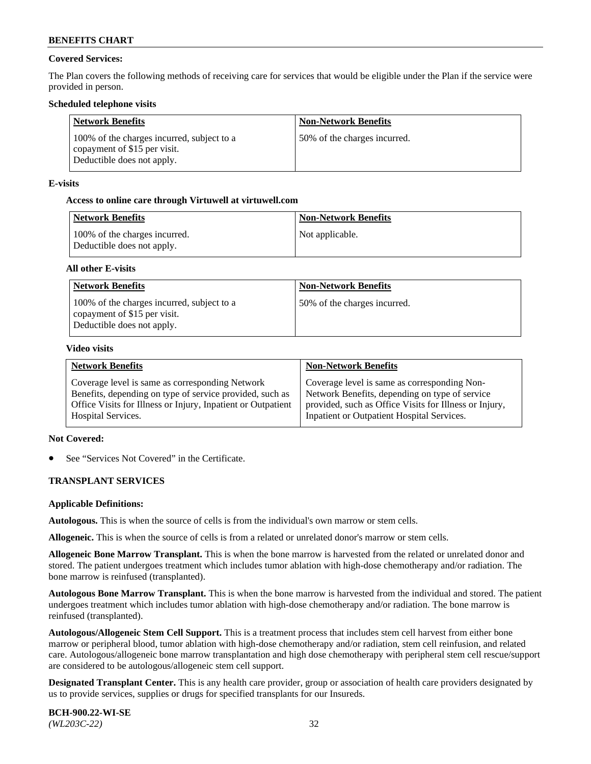# **Covered Services:**

The Plan covers the following methods of receiving care for services that would be eligible under the Plan if the service were provided in person.

## **Scheduled telephone visits**

| <b>Network Benefits</b>                                                                                  | <b>Non-Network Benefits</b>  |
|----------------------------------------------------------------------------------------------------------|------------------------------|
| 100% of the charges incurred, subject to a<br>copayment of \$15 per visit.<br>Deductible does not apply. | 50% of the charges incurred. |

## **E-visits**

### **Access to online care through Virtuwell at [virtuwell.com](https://www.virtuwell.com/)**

| Network Benefits                                            | <b>Non-Network Benefits</b> |
|-------------------------------------------------------------|-----------------------------|
| 100% of the charges incurred.<br>Deductible does not apply. | Not applicable.             |

### **All other E-visits**

| <b>Network Benefits</b>                                                                                  | <b>Non-Network Benefits</b>  |
|----------------------------------------------------------------------------------------------------------|------------------------------|
| 100% of the charges incurred, subject to a<br>copayment of \$15 per visit.<br>Deductible does not apply. | 50% of the charges incurred. |

#### **Video visits**

| <b>Network Benefits</b>                                      | <b>Non-Network Benefits</b>                            |
|--------------------------------------------------------------|--------------------------------------------------------|
| Coverage level is same as corresponding Network              | Coverage level is same as corresponding Non-           |
| Benefits, depending on type of service provided, such as     | Network Benefits, depending on type of service         |
| Office Visits for Illness or Injury, Inpatient or Outpatient | provided, such as Office Visits for Illness or Injury, |
| <b>Hospital Services.</b>                                    | Inpatient or Outpatient Hospital Services.             |

# **Not Covered:**

See "Services Not Covered" in the Certificate.

# **TRANSPLANT SERVICES**

#### **Applicable Definitions:**

**Autologous.** This is when the source of cells is from the individual's own marrow or stem cells.

**Allogeneic.** This is when the source of cells is from a related or unrelated donor's marrow or stem cells.

**Allogeneic Bone Marrow Transplant.** This is when the bone marrow is harvested from the related or unrelated donor and stored. The patient undergoes treatment which includes tumor ablation with high-dose chemotherapy and/or radiation. The bone marrow is reinfused (transplanted).

**Autologous Bone Marrow Transplant.** This is when the bone marrow is harvested from the individual and stored. The patient undergoes treatment which includes tumor ablation with high-dose chemotherapy and/or radiation. The bone marrow is reinfused (transplanted).

**Autologous/Allogeneic Stem Cell Support.** This is a treatment process that includes stem cell harvest from either bone marrow or peripheral blood, tumor ablation with high-dose chemotherapy and/or radiation, stem cell reinfusion, and related care. Autologous/allogeneic bone marrow transplantation and high dose chemotherapy with peripheral stem cell rescue/support are considered to be autologous/allogeneic stem cell support.

**Designated Transplant Center.** This is any health care provider, group or association of health care providers designated by us to provide services, supplies or drugs for specified transplants for our Insureds.

**BCH-900.22-WI-SE**  *(WL203C-22)* 32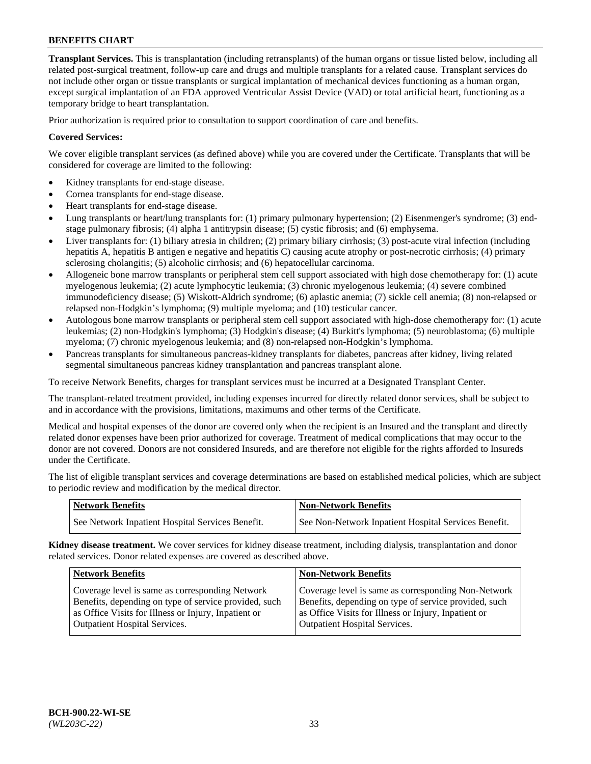**Transplant Services.** This is transplantation (including retransplants) of the human organs or tissue listed below, including all related post-surgical treatment, follow-up care and drugs and multiple transplants for a related cause. Transplant services do not include other organ or tissue transplants or surgical implantation of mechanical devices functioning as a human organ, except surgical implantation of an FDA approved Ventricular Assist Device (VAD) or total artificial heart, functioning as a temporary bridge to heart transplantation.

Prior authorization is required prior to consultation to support coordination of care and benefits.

# **Covered Services:**

We cover eligible transplant services (as defined above) while you are covered under the Certificate. Transplants that will be considered for coverage are limited to the following:

- Kidney transplants for end-stage disease.
- Cornea transplants for end-stage disease.
- Heart transplants for end-stage disease.
- Lung transplants or heart/lung transplants for: (1) primary pulmonary hypertension; (2) Eisenmenger's syndrome; (3) endstage pulmonary fibrosis; (4) alpha 1 antitrypsin disease; (5) cystic fibrosis; and (6) emphysema.
- Liver transplants for: (1) biliary atresia in children; (2) primary biliary cirrhosis; (3) post-acute viral infection (including hepatitis A, hepatitis B antigen e negative and hepatitis C) causing acute atrophy or post-necrotic cirrhosis; (4) primary sclerosing cholangitis; (5) alcoholic cirrhosis; and (6) hepatocellular carcinoma.
- Allogeneic bone marrow transplants or peripheral stem cell support associated with high dose chemotherapy for: (1) acute myelogenous leukemia; (2) acute lymphocytic leukemia; (3) chronic myelogenous leukemia; (4) severe combined immunodeficiency disease; (5) Wiskott-Aldrich syndrome; (6) aplastic anemia; (7) sickle cell anemia; (8) non-relapsed or relapsed non-Hodgkin's lymphoma; (9) multiple myeloma; and (10) testicular cancer.
- Autologous bone marrow transplants or peripheral stem cell support associated with high-dose chemotherapy for: (1) acute leukemias; (2) non-Hodgkin's lymphoma; (3) Hodgkin's disease; (4) Burkitt's lymphoma; (5) neuroblastoma; (6) multiple myeloma; (7) chronic myelogenous leukemia; and (8) non-relapsed non-Hodgkin's lymphoma.
- Pancreas transplants for simultaneous pancreas-kidney transplants for diabetes, pancreas after kidney, living related segmental simultaneous pancreas kidney transplantation and pancreas transplant alone.

To receive Network Benefits, charges for transplant services must be incurred at a Designated Transplant Center.

The transplant-related treatment provided, including expenses incurred for directly related donor services, shall be subject to and in accordance with the provisions, limitations, maximums and other terms of the Certificate.

Medical and hospital expenses of the donor are covered only when the recipient is an Insured and the transplant and directly related donor expenses have been prior authorized for coverage. Treatment of medical complications that may occur to the donor are not covered. Donors are not considered Insureds, and are therefore not eligible for the rights afforded to Insureds under the Certificate.

The list of eligible transplant services and coverage determinations are based on established medical policies, which are subject to periodic review and modification by the medical director.

| <b>Network Benefits</b>                          | <b>Non-Network Benefits</b>                          |
|--------------------------------------------------|------------------------------------------------------|
| See Network Inpatient Hospital Services Benefit. | See Non-Network Inpatient Hospital Services Benefit. |

**Kidney disease treatment.** We cover services for kidney disease treatment, including dialysis, transplantation and donor related services. Donor related expenses are covered as described above.

| <b>Network Benefits</b>                               | <b>Non-Network Benefits</b>                           |
|-------------------------------------------------------|-------------------------------------------------------|
| Coverage level is same as corresponding Network       | Coverage level is same as corresponding Non-Network   |
| Benefits, depending on type of service provided, such | Benefits, depending on type of service provided, such |
| as Office Visits for Illness or Injury, Inpatient or  | as Office Visits for Illness or Injury, Inpatient or  |
| <b>Outpatient Hospital Services.</b>                  | <b>Outpatient Hospital Services.</b>                  |